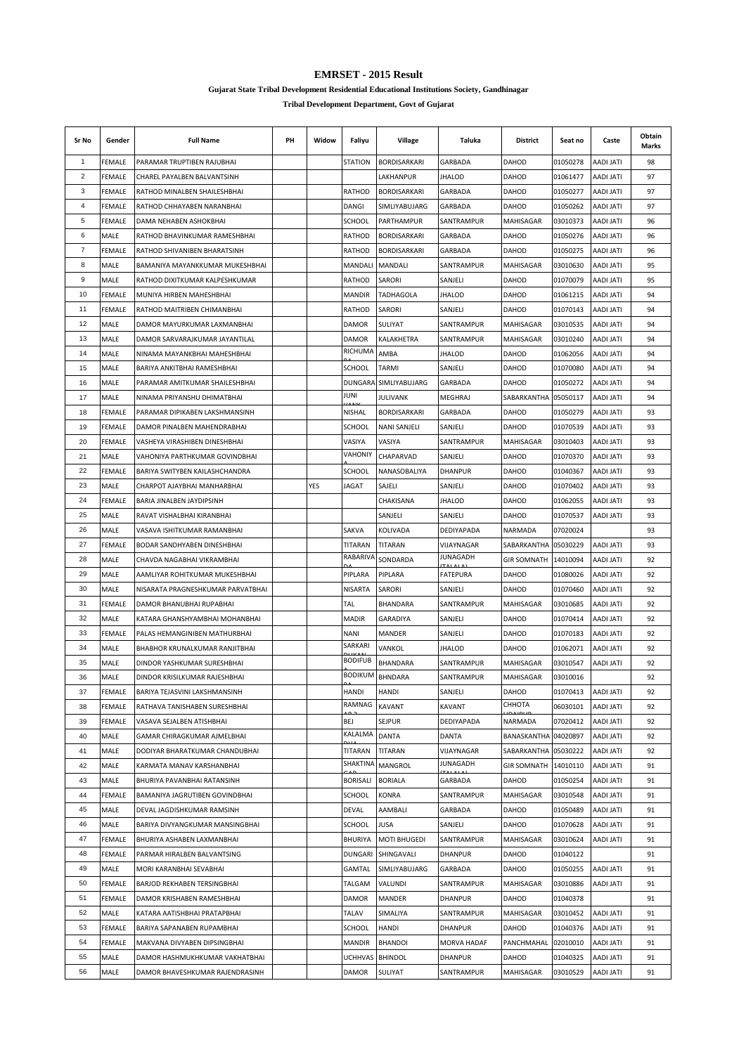**Gujarat State Tribal Development Residential Educational Institutions Society, Gandhinagar**

| Sr No | Gender        | <b>Full Name</b>                                         | PH | Widow | Faliyu              | Village               | Taluka                        | District             | Seat no  | Caste            | Obtain<br>Marks |
|-------|---------------|----------------------------------------------------------|----|-------|---------------------|-----------------------|-------------------------------|----------------------|----------|------------------|-----------------|
| 1     | FEMALE        | PARAMAR TRUPTIBEN RAJUBHAI                               |    |       | <b>STATION</b>      | BORDISARKARI          | GARBADA                       | <b>DAHOD</b>         | 01050278 | <b>AADI JATI</b> | 98              |
| 2     | FEMALE        | CHAREL PAYALBEN BALVANTSINH                              |    |       |                     | LAKHANPUR             | <b>JHALOD</b>                 | <b>DAHOD</b>         | 01061477 | <b>AADI JATI</b> | 97              |
| 3     | FEMALE        | RATHOD MINALBEN SHAILESHBHAI                             |    |       | RATHOD              | BORDISARKARI          | GARBADA                       | DAHOD                | 01050277 | AADI JATI        | 97              |
| 4     | FEMALE        | RATHOD CHHAYABEN NARANBHAI                               |    |       | DANGI               | SIMLIYABUJARG         | GARBADA                       | DAHOD                | 01050262 | <b>AADI JATI</b> | 97              |
| 5     | FEMALE        | DAMA NEHABEN ASHOKBHAI                                   |    |       | <b>SCHOOL</b>       | PARTHAMPUR            | SANTRAMPUR                    | MAHISAGAR            | 03010373 | <b>AADI JATI</b> | 96              |
| 6     | MALE          | RATHOD BHAVINKUMAR RAMESHBHAI                            |    |       | RATHOD              | BORDISARKARI          | GARBADA                       | DAHOD                | 01050276 | <b>AADI JATI</b> | 96              |
| 7     | <b>FEMALE</b> | RATHOD SHIVANIBEN BHARATSINH                             |    |       | RATHOD              | <b>BORDISARKARI</b>   | GARBADA                       | DAHOD                | 01050275 | AADI JATI        | 96              |
| 8     | MALE          | BAMANIYA MAYANKKUMAR MUKESHBHAI                          |    |       | MANDALI             | MANDALI               | SANTRAMPUR                    | MAHISAGAR            | 03010630 | <b>ITAL IGAA</b> | 95              |
| 9     | MALE          | RATHOD DIXITKUMAR KALPESHKUMAR                           |    |       | RATHOD              | SARORI                | SANJELI                       | DAHOD                | 01070079 | AADI JATI        | 95              |
| 10    | <b>FEMALE</b> | MUNIYA HIRBEN MAHESHBHAI                                 |    |       | MANDIR              | TADHAGOLA             | JHALOD                        | DAHOD                | 01061215 | <b>AADI JATI</b> | 94              |
| 11    | FEMALE        | RATHOD MAITRIBEN CHIMANBHAI                              |    |       | RATHOD              | SARORI                | SANJELI                       | DAHOD                | 01070143 | <b>AADI JATI</b> | 94              |
| 12    | MALE          | DAMOR MAYURKUMAR LAXMANBHAI                              |    |       | <b>DAMOR</b>        | <b>SULIYAT</b>        | SANTRAMPUR                    | MAHISAGAR            | 03010535 | <b>AADI JATI</b> | 94              |
| 13    | MALE          | DAMOR SARVARAJKUMAR JAYANTILAL                           |    |       | <b>DAMOR</b>        | KALAKHETRA            | SANTRAMPUR                    | MAHISAGAR            | 03010240 | <b>AADI JATI</b> | 94              |
| 14    | MALE          | NINAMA MAYANKBHAI MAHESHBHAI                             |    |       | RICHUMA             | AMBA                  | <b>JHALOD</b>                 | <b>DAHOD</b>         | 01062056 | <b>AADI JATI</b> | 94              |
| 15    | MALE          | BARIYA ANKITBHAI RAMESHBHAI                              |    |       | SCHOOL              | TARMI                 | SANJELI                       | DAHOD                | 01070080 | <b>AADI JATI</b> | 94              |
| 16    | MALE          | PARAMAR AMITKUMAR SHAILESHBHAI                           |    |       |                     | DUNGARA SIMLIYABUJARG | GARBADA                       | DAHOD                | 01050272 | AADI JATI        | 94              |
| 17    | MALE          | NINAMA PRIYANSHU DHIMATBHAI                              |    |       | JUNI                | JULIVANK              | MEGHRAJ                       | SABARKANTHA          | 05050117 | <b>AADI JATI</b> | 94              |
| 18    | FEMALE        | PARAMAR DIPIKABEN LAKSHMANSINH                           |    |       | NISHAL              | <b>BORDISARKARI</b>   | GARBADA                       | DAHOD                | 01050279 | AADI JATI        | 93              |
| 19    | FEMALE        | DAMOR PINALBEN MAHENDRABHAI                              |    |       | <b>SCHOOL</b>       | <b>NANI SANJELI</b>   | SANJELI                       | DAHOD                | 01070539 | <b>ITAL IGAA</b> | 93              |
| 20    | FEMALE        | VASHEYA VIRASHIBEN DINESHBHAI                            |    |       | VASIYA              | VASIYA                | SANTRAMPUR                    | MAHISAGAR            | 03010403 | <b>AADI JATI</b> | 93              |
| 21    | MALE          | VAHONIYA PARTHKUMAR GOVINDBHAI                           |    |       | VAHONIY             | CHAPARVAD             | SANJELI                       | DAHOD                | 01070370 | <b>ITAL IGAA</b> | 93              |
| 22    | FEMALE        | BARIYA SWITYBEN KAILASHCHANDRA                           |    |       | SCHOOL              | NANASOBALIYA          | <b>DHANPUR</b>                | DAHOD                | 01040367 | AADI JATI        | 93              |
| 23    | MALE          |                                                          |    | YES   | <b>JAGAT</b>        | SAJELI                | SANJELI                       | DAHOD                | 01070402 | <b>AADI JATI</b> | 93              |
| 24    | FEMALE        | CHARPOT AJAYBHAI MANHARBHAI<br>BARIA JINALBEN JAYDIPSINH |    |       |                     | CHAKISANA             | <b>JHALOD</b>                 | DAHOD                | 01062055 | <b>AADI JATI</b> | 93              |
| 25    | MALE          | RAVAT VISHALBHAI KIRANBHAI                               |    |       |                     | SANJELI               | SANJELI                       | DAHOD                |          | <b>AADI JATI</b> | 93              |
|       |               |                                                          |    |       |                     |                       |                               |                      | 01070537 |                  |                 |
| 26    | MALE          | VASAVA ISHITKUMAR RAMANBHAI                              |    |       | SAKVA               | KOLIVADA              | DEDIYAPADA                    | NARMADA              | 07020024 |                  | 93              |
| 27    | FEMALE        | BODAR SANDHYABEN DINESHBHAI                              |    |       | TITARAN<br>RABARIVA | TITARAN               | VIJAYNAGAR<br><b>JUNAGADH</b> | SABARKANTHA          | 05030229 | <b>AADI JATI</b> | 93              |
| 28    | MALE          | CHAVDA NAGABHAI VIKRAMBHAI                               |    |       |                     | SONDARDA              |                               | <b>GIR SOMNATH</b>   | 14010094 | AADI JATI        | 92              |
| 29    | MALE          | AAMLIYAR ROHITKUMAR MUKESHBHAI                           |    |       | PIPLARA             | PIPLARA               | <b>FATEPURA</b>               | DAHOD                | 01080026 | AADI JATI        | 92              |
| 30    | MALE          | NISARATA PRAGNESHKUMAR PARVATBHAI                        |    |       | <b>NISARTA</b>      | SARORI                | SANJELI                       | DAHOD                | 01070460 | <b>AADI JATI</b> | 92              |
| 31    | <b>FEMALE</b> | DAMOR BHANUBHAI RUPABHAI                                 |    |       | TAL                 | BHANDARA              | SANTRAMPUR                    | MAHISAGAR            | 03010685 | <b>AADI JATI</b> | 92              |
| 32    | MALE          | KATARA GHANSHYAMBHAI MOHANBHAI                           |    |       | <b>MADIR</b>        | <b>GARADIYA</b>       | SANJELI                       | DAHOD                | 01070414 | <b>ITAL IGAA</b> | 92              |
| 33    | FEMALE        | PALAS HEMANGINIBEN MATHURBHAI                            |    |       | NANI                | <b>MANDER</b>         | SANJELI                       | DAHOD                | 01070183 | AADI JATI        | 92              |
| 34    | MALE          | BHABHOR KRUNALKUMAR RANJITBHAI                           |    |       | SARKARI             | VANKOL                | JHALOD                        | DAHOD                | 01062071 | AADI JATI        | 92              |
| 35    | MALE          | DINDOR YASHKUMAR SURESHBHAI                              |    |       | <b>BODIFUB</b>      | BHANDARA              | SANTRAMPUR                    | MAHISAGAR            | 03010547 | <b>AADI JATI</b> | 92              |
| 36    | MALE          | DINDOR KRISILKUMAR RAJESHBHAI                            |    |       | <b>BODIKUM</b>      | <b>BHNDARA</b>        | SANTRAMPUR                    | MAHISAGAR            | 03010016 |                  | 92              |
| 37    | FEMALE        | BARIYA TEJASVINI LAKSHMANSINH                            |    |       | <b>HANDI</b>        | <b>HANDI</b>          | SANJELI                       | DAHOD                | 01070413 | AADI JATI        | 92              |
| 38    | FEMALE        | RATHAVA TANISHABEN SURESHBHAI                            |    |       | RAMNAG              | <b>KAVANT</b>         | <b>KAVANT</b>                 | СННОТА               | 06030101 | AADI JATI        | 92              |
| 39    | FEMALE        | VASAVA SEJALBEN ATISHBHAI                                |    |       | BEJ                 | SEJPUR                | DEDIYAPADA                    | <b>NARMADA</b>       | 07020412 | AADI JATI        | 92              |
| 40    | MALE          | GAMAR CHIRAGKUMAR AJMELBHAI                              |    |       | KALALMA             | <b>DANTA</b>          | DANTA                         | BANASKANTHA 04020897 |          | AADI JATI        | 92              |
| 41    | MALE          | DODIYAR BHARATKUMAR CHANDUBHAI                           |    |       | TITARAN             | TITARAN               | VIJAYNAGAR                    | SABARKANTHA 05030222 |          | AADI JATI        | 92              |
| 42    | MALE          | KARMATA MANAV KARSHANBHAI                                |    |       | SHAKTINA            | MANGROL               | JUNAGADH                      | <b>GIR SOMNATH</b>   | 14010110 | AADI JATI        | 91              |
| 43    | MALE          | BHURIYA PAVANBHAI RATANSINH                              |    |       | <b>BORISALI</b>     | <b>BORIALA</b>        | GARBADA                       | DAHOD                | 01050254 | AADI JATI        | 91              |
| 44    | FEMALE        | BAMANIYA JAGRUTIBEN GOVINDBHAI                           |    |       | <b>SCHOOL</b>       | KONRA                 | SANTRAMPUR                    | MAHISAGAR            | 03010548 | AADI JATI        | 91              |
| 45    | MALE          | DEVAL JAGDISHKUMAR RAMSINH                               |    |       | DEVAL               | AAMBALI               | GARBADA                       | DAHOD                | 01050489 | <b>AADI JATI</b> | 91              |
| 46    | MALE          | BARIYA DIVYANGKUMAR MANSINGBHAI                          |    |       | SCHOOL              | JUSA                  | SANJELI                       | DAHOD                | 01070628 | <b>AADI JATI</b> | 91              |
| 47    | FEMALE        | BHURIYA ASHABEN LAXMANBHAI                               |    |       | <b>BHURIYA</b>      | <b>MOTI BHUGEDI</b>   | SANTRAMPUR                    | MAHISAGAR            | 03010624 | <b>AADI JATI</b> | 91              |
| 48    | FEMALE        | PARMAR HIRALBEN BALVANTSING                              |    |       | <b>DUNGARI</b>      | SHINGAVALI            | <b>DHANPUR</b>                | DAHOD                | 01040122 |                  | 91              |
| 49    | MALE          | MORI KARANBHAI SEVABHAI                                  |    |       | GAMTAL              | SIMLIYABUJARG         | GARBADA                       | DAHOD                | 01050255 | AADI JATI        | 91              |
| 50    | FEMALE        | BARJOD REKHABEN TERSINGBHAI                              |    |       | TALGAM              | VALUNDI               | SANTRAMPUR                    | MAHISAGAR            | 03010886 | <b>AADI JATI</b> | 91              |
| 51    | FEMALE        | DAMOR KRISHABEN RAMESHBHAI                               |    |       | <b>DAMOR</b>        | MANDER                | <b>DHANPUR</b>                | DAHOD                | 01040378 |                  | 91              |
| 52    | MALE          | KATARA AATISHBHAI PRATAPBHAI                             |    |       | TALAV               | SIMALIYA              | SANTRAMPUR                    | MAHISAGAR            | 03010452 | AADI JATI        | 91              |
| 53    | FEMALE        | BARIYA SAPANABEN RUPAMBHAI                               |    |       | SCHOOL              | <b>HANDI</b>          | <b>DHANPUR</b>                | DAHOD                | 01040376 | AADI JATI        | 91              |
| 54    | FEMALE        | MAKVANA DIVYABEN DIPSINGBHAI                             |    |       | <b>MANDIR</b>       | <b>BHANDOI</b>        | <b>MORVA HADAF</b>            | PANCHMAHAL           | 02010010 | AADI JATI        | 91              |
| 55    | MALE          | DAMOR HASHMUKHKUMAR VAKHATBHAI                           |    |       | UCHHVAS             | <b>BHINDOL</b>        | <b>DHANPUR</b>                | DAHOD                | 01040325 | AADI JATI        | 91              |
| 56    | MALE          | DAMOR BHAVESHKUMAR RAJENDRASINH                          |    |       | DAMOR               | SULIYAT               | SANTRAMPUR                    | MAHISAGAR            | 03010529 | AADI JATI        | 91              |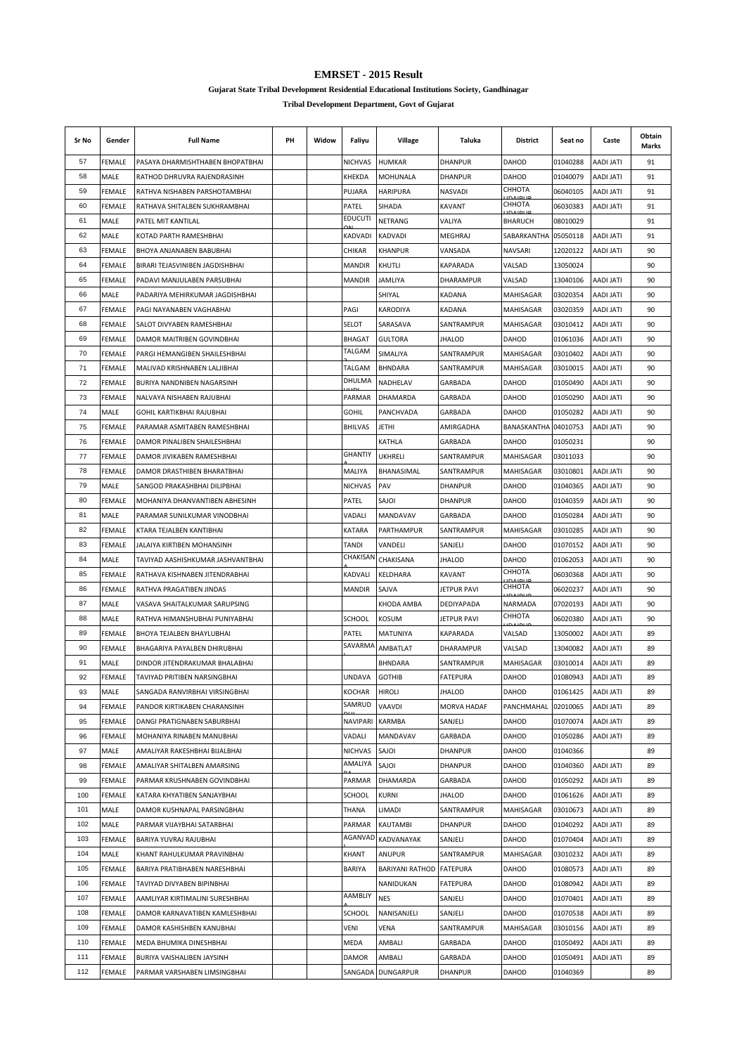**Gujarat State Tribal Development Residential Educational Institutions Society, Gandhinagar**

| Sr No | Gender        | <b>Full Name</b>                  | PH | Widow | Faliyu         | Village                  | Taluka             | District             | Seat no  | Caste            | Obtain<br>Marks |
|-------|---------------|-----------------------------------|----|-------|----------------|--------------------------|--------------------|----------------------|----------|------------------|-----------------|
| 57    | <b>FEMALE</b> | PASAYA DHARMISHTHABEN BHOPATBHAI  |    |       | <b>NICHVAS</b> | <b>HUMKAR</b>            | <b>DHANPUR</b>     | <b>DAHOD</b>         | 01040288 | <b>AADI JATI</b> | 91              |
| 58    | MALE          | RATHOD DHRUVRA RAJENDRASINH       |    |       | KHEKDA         | <b>MOHUNALA</b>          | <b>DHANPUR</b>     | <b>DAHOD</b>         | 01040079 | <b>AADI JATI</b> | 91              |
| 59    | FEMALE        | RATHVA NISHABEN PARSHOTAMBHAI     |    |       | PUJARA         | <b>HARIPURA</b>          | <b>NASVADI</b>     | СННОТА               | 06040105 | AADI JATI        | 91              |
| 60    | <b>FEMALE</b> | RATHAVA SHITALBEN SUKHRAMBHAI     |    |       | PATEL          | SIHADA                   | KAVANT             | СННОТА               | 06030383 | <b>AADI JATI</b> | 91              |
| 61    | MALE          | PATEL MIT KANTILAL                |    |       | <b>EDUCUTI</b> | NETRANG                  | VALIYA             | BHARUCH              | 08010029 |                  | 91              |
| 62    | MALE          | KOTAD PARTH RAMESHBHAI            |    |       | KADVADI        | KADVADI                  | <b>MEGHRAJ</b>     | SABARKANTHA          | 05050118 | <b>AADI JATI</b> | 91              |
| 63    | FEMALE        | BHOYA ANJANABEN BABUBHAI          |    |       | CHIKAR         | KHANPUR                  | VANSADA            | NAVSARI              | 12020122 | AADI JATI        | 90              |
| 64    | FEMALE        | BIRARI TEJASVINIBEN JAGDISHBHAI   |    |       | MANDIR         | KHUTLI                   | KAPARADA           | VALSAD               | 13050024 |                  | 90              |
| 65    | FEMALE        | PADAVI MANJULABEN PARSUBHAI       |    |       | MANDIR         | JAMLIYA                  | <b>DHARAMPUR</b>   | VALSAD               | 13040106 | AADI JATI        | 90              |
| 66    | MALE          | PADARIYA MEHIRKUMAR JAGDISHBHAI   |    |       |                | SHIYAL                   | <b>KADANA</b>      | MAHISAGAR            | 03020354 | AADI JATI        | 90              |
| 67    | FEMALE        | PAGI NAYANABEN VAGHABHAI          |    |       | PAGI           | KARODIYA                 | KADANA             | MAHISAGAR            | 03020359 | <b>AADI JATI</b> | 90              |
| 68    | FEMALE        | SALOT DIVYABEN RAMESHBHAI         |    |       | SELOT          | SARASAVA                 | SANTRAMPUR         | MAHISAGAR            | 03010412 | AADI JATI        | 90              |
| 69    | FEMALE        | DAMOR MAITRIBEN GOVINDBHAI        |    |       | <b>BHAGAT</b>  | <b>GULTORA</b>           | <b>JHALOD</b>      | <b>DAHOD</b>         | 01061036 | <b>AADI JATI</b> | 90              |
| 70    | FEMALE        | PARGI HEMANGIBEN SHAILESHBHAI     |    |       | TALGAM         | SIMALIYA                 | SANTRAMPUR         | MAHISAGAR            | 03010402 | AADI JATI        | 90              |
| 71    | FEMALE        | MALIVAD KRISHNABEN LALJIBHAI      |    |       | TALGAM         | <b>BHNDARA</b>           | SANTRAMPUR         | MAHISAGAR            | 03010015 | AADI JATI        | 90              |
| 72    | FEMALE        | BURIYA NANDNIBEN NAGARSINH        |    |       | DHULMA         | NADHELAV                 | GARBADA            | DAHOD                | 01050490 | AADI JATI        | 90              |
| 73    | FEMALE        | NALVAYA NISHABEN RAJUBHAI         |    |       | PARMAR         | DHAMARDA                 | GARBADA            | DAHOD                | 01050290 | <b>AADI JATI</b> | 90              |
| 74    | MALE          | GOHIL KARTIKBHAI RAJUBHAI         |    |       | <b>GOHIL</b>   | PANCHVADA                | GARBADA            | DAHOD                | 01050282 | AADI JATI        | 90              |
| 75    | FEMALE        | PARAMAR ASMITABEN RAMESHBHAI      |    |       | <b>BHILVAS</b> | <b>JETHI</b>             | AMIRGADHA          | BANASKANTHA 04010753 |          | <b>ITAL IGAA</b> | 90              |
| 76    | FEMALE        | DAMOR PINALIBEN SHAILESHBHAI      |    |       |                | KATHLA                   | GARBADA            | DAHOD                | 01050231 |                  | 90              |
| 77    | FEMALE        | DAMOR JIVIKABEN RAMESHBHAI        |    |       | <b>GHANTIY</b> | <b>UKHRELI</b>           | SANTRAMPUR         | MAHISAGAR            | 03011033 |                  | 90              |
| 78    | FEMALE        | DAMOR DRASTHIBEN BHARATBHAI       |    |       | MALIYA         | BHANASIMAL               | SANTRAMPUR         | MAHISAGAR            | 03010801 | AADI JATI        | 90              |
| 79    | MALE          | SANGOD PRAKASHBHAI DILIPBHAI      |    |       | <b>NICHVAS</b> | PAV                      | <b>DHANPUR</b>     | DAHOD                | 01040365 | AADI JATI        | 90              |
| 80    | FEMALE        | MOHANIYA DHANVANTIBEN ABHESINH    |    |       | PATEL          | SAJOI                    | <b>DHANPUR</b>     | DAHOD                | 01040359 | <b>AADI JATI</b> | 90              |
| 81    | MALE          | PARAMAR SUNILKUMAR VINODBHAI      |    |       | VADALI         | MANDAVAV                 | <b>GARBADA</b>     | <b>DAHOD</b>         | 01050284 | AADI JATI        | 90              |
| 82    | FEMALE        | KTARA TEJALBEN KANTIBHAI          |    |       | <b>KATARA</b>  | PARTHAMPUR               | SANTRAMPUR         | MAHISAGAR            | 03010285 | <b>AADI JATI</b> | 90              |
| 83    | FEMALE        | JALAIYA KIRTIBEN MOHANSINH        |    |       | TANDI          | VANDELI                  | SANJELI            | <b>DAHOD</b>         | 01070152 | <b>AADI JATI</b> | 90              |
| 84    | MALE          | TAVIYAD AASHISHKUMAR JASHVANTBHAI |    |       | CHAKISAN       | CHAKISANA                | JHALOD             | DAHOD                | 01062053 | AADI JATI        | 90              |
| 85    | FEMALE        | RATHAVA KISHNABEN JITENDRABHAI    |    |       | KADVALI        | KELDHARA                 | KAVANT             | СННОТА               | 06030368 | AADI JATI        | 90              |
| 86    | FEMALE        | RATHVA PRAGATIBEN JINDAS          |    |       | MANDIR         | SAJVA                    | JETPUR PAVI        | СННОТА               | 06020237 | <b>AADI JATI</b> | 90              |
| 87    | MALE          | VASAVA SHAITALKUMAR SARUPSING     |    |       |                | KHODA AMBA               | <b>DEDIYAPADA</b>  | NARMADA              | 07020193 | <b>AADI JATI</b> | 90              |
| 88    | MALE          | RATHVA HIMANSHUBHAI PUNIYABHAI    |    |       | <b>SCHOOL</b>  | <b>KOSUM</b>             | <b>JETPUR PAVI</b> | СННОТА               | 06020380 | <b>ITAL IGAA</b> | 90              |
| 89    | FEMALE        | BHOYA TEJALBEN BHAYLUBHAI         |    |       | PATEL          | MATUNIYA                 | KAPARADA           | VALSAD               | 13050002 | AADI JATI        | 89              |
| 90    | FEMALE        | BHAGARIYA PAYALBEN DHIRUBHAI      |    |       | SAVARMA        | AMBATLAT                 | DHARAMPUR          | VALSAD               | 13040082 | AADI JATI        | 89              |
| 91    | MALE          | DINDOR JITENDRAKUMAR BHALABHAI    |    |       |                | BHNDARA                  | SANTRAMPUR         | <b>MAHISAGAR</b>     | 03010014 | AADI JATI        | 89              |
| 92    | FEMALE        | TAVIYAD PRITIBEN NARSINGBHAI      |    |       | UNDAVA         | <b>GOTHIB</b>            | <b>FATEPURA</b>    | <b>DAHOD</b>         | 01080943 | <b>AADI JATI</b> | 89              |
| 93    | <b>MALE</b>   | SANGADA RANVIRBHAI VIRSINGBHAI    |    |       | <b>KOCHAR</b>  | HIROLI                   | <b>JHALOD</b>      | DAHOD                | 01061425 | AADI JATI        | 89              |
| 94    | FEMALE        | PANDOR KIRTIKABEN CHARANSINH      |    |       | SAMRUD         | VAAVDI                   | <b>MORVA HADAF</b> | PANCHMAHAL           | 02010065 | <b>ITAL IGAA</b> | 89              |
| 95    | FEMALE        | DANGI PRATIGNABEN SABURBHAI       |    |       | NAVIPARI       | <b>KARMBA</b>            | SANJELI            | DAHOD                | 01070074 | AADI JATI        | 89              |
| 96    | FEMALE        | MOHANIYA RINABEN MANUBHAI         |    |       | VADALI         | MANDAVAV                 | GARBADA            | <b>DAHOD</b>         | 01050286 | <b>AADI JATI</b> | 89              |
| 97    | MALE          | AMALIYAR RAKESHBHAI BIJALBHAI     |    |       | NICHVAS        | SAJOI                    | <b>DHANPUR</b>     | DAHOD                | 01040366 |                  | 89              |
| 98    | FEMALE        | AMALIYAR SHITALBEN AMARSING       |    |       | AMALIYA        | SAJOI                    | <b>DHANPUR</b>     | DAHOD                | 01040360 | AADI JATI        | 89              |
| 99    | FEMALE        | PARMAR KRUSHNABEN GOVINDBHAI      |    |       | PARMAR         | DHAMARDA                 | GARBADA            | DAHOD                | 01050292 | AADI JATI        | 89              |
| 100   | FEMALE        | KATARA KHYATIBEN SANJAYBHAI       |    |       | SCHOOL         | KURNI                    | JHALOD             | DAHOD                | 01061626 | AADI JATI        | 89              |
| 101   | MALE          | DAMOR KUSHNAPAL PARSINGBHAI       |    |       | THANA          | LIMADI                   | SANTRAMPUR         | MAHISAGAR            | 03010673 | AADI JATI        | 89              |
| 102   | MALE          | PARMAR VIJAYBHAI SATARBHAI        |    |       | PARMAR         | KAUTAMBI                 | <b>DHANPUR</b>     | DAHOD                | 01040292 | AADI JATI        | 89              |
| 103   | FEMALE        | BARIYA YUVRAJ RAJUBHAI            |    |       | AGANVAD        | KADVANAYAK               | SANJELI            | <b>DAHOD</b>         | 01070404 | AADI JATI        | 89              |
| 104   | MALE          | KHANT RAHULKUMAR PRAVINBHAI       |    |       | KHANT          | ANUPUR                   | SANTRAMPUR         | MAHISAGAR            | 03010232 | <b>AADI JATI</b> | 89              |
| 105   | FEMALE        | BARIYA PRATIBHABEN NARESHBHAI     |    |       | <b>BARIYA</b>  | BARIYANI RATHOD FATEPURA |                    | DAHOD                | 01080573 | AADI JATI        | 89              |
| 106   | FEMALE        | TAVIYAD DIVYABEN BIPINBHAI        |    |       |                | NANIDUKAN                | <b>FATEPURA</b>    | DAHOD                | 01080942 | AADI JATI        | 89              |
| 107   | FEMALE        | AAMLIYAR KIRTIMALINI SURESHBHAI   |    |       | AAMBLIY        | <b>NES</b>               | SANJELI            | <b>DAHOD</b>         | 01070401 | AADI JATI        | 89              |
| 108   | FEMALE        | DAMOR KARNAVATIBEN KAMLESHBHAI    |    |       | <b>SCHOOL</b>  | NANISANJELI              | SANJELI            | <b>DAHOD</b>         | 01070538 | AADI JATI        | 89              |
| 109   | FEMALE        | DAMOR KASHISHBEN KANUBHAI         |    |       | VENI           | VENA                     | SANTRAMPUR         | MAHISAGAR            | 03010156 | <b>AADI JATI</b> | 89              |
| 110   | FEMALE        | MEDA BHUMIKA DINESHBHAI           |    |       | MEDA           | AMBALI                   | GARBADA            | DAHOD                | 01050492 | AADI JATI        | 89              |
| 111   | FEMALE        | BURIYA VAISHALIBEN JAYSINH        |    |       | DAMOR          | AMBALI                   | GARBADA            | DAHOD                | 01050491 | <b>AADI JATI</b> | 89              |
| 112   | FEMALE        | PARMAR VARSHABEN LIMSINGBHAI      |    |       | SANGADA        | <b>DUNGARPUR</b>         | <b>DHANPUR</b>     | DAHOD                | 01040369 |                  | 89              |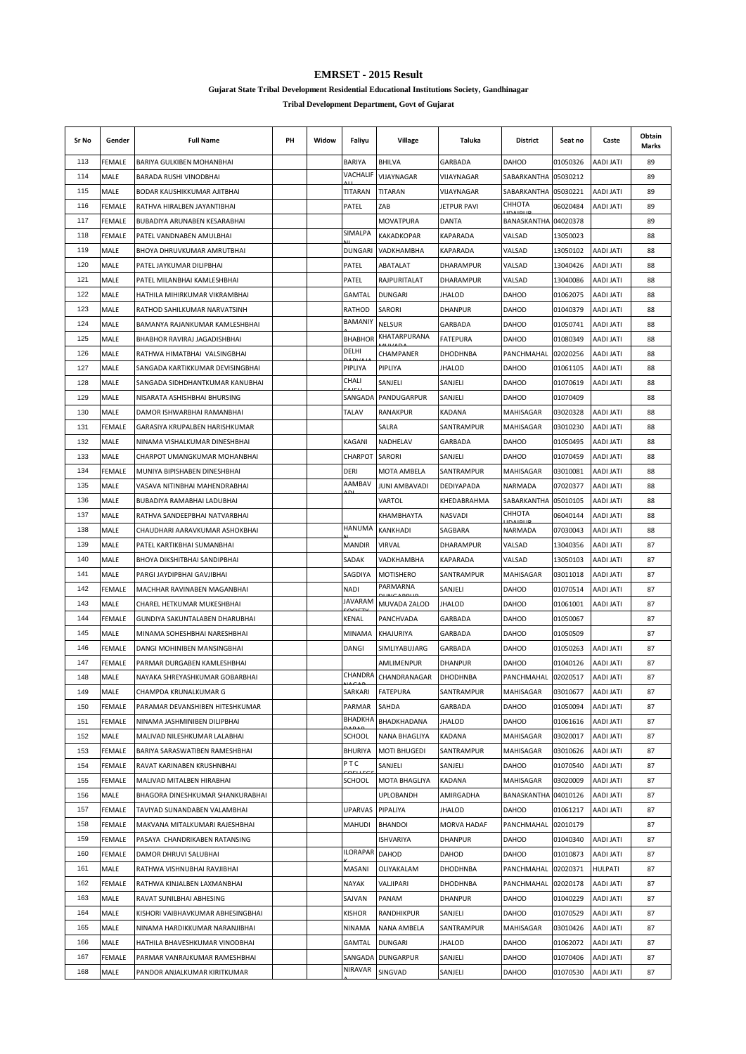**Gujarat State Tribal Development Residential Educational Institutions Society, Gandhinagar**

| Sr No | Gender        | <b>Full Name</b>                  | PH | Widow | Faliyu                | Village           | Taluka             | District             | Seat no  | Caste            | Obtain<br>Marks |
|-------|---------------|-----------------------------------|----|-------|-----------------------|-------------------|--------------------|----------------------|----------|------------------|-----------------|
| 113   | FEMALE        | <b>BARIYA GULKIBEN MOHANBHAI</b>  |    |       | <b>BARIYA</b>         | <b>BHILVA</b>     | GARBADA            | DAHOD                | 01050326 | <b>AADI JATI</b> | 89              |
| 114   | MALE          | BARADA RUSHI VINODBHAI            |    |       | VACHALIF              | VIJAYNAGAR        | VIJAYNAGAR         | SABARKANTHA          | 05030212 |                  | 89              |
| 115   | MALE          | BODAR KAUSHIKKUMAR AJITBHAI       |    |       | TITARAN               | TITARAN           | VIJAYNAGAR         | SABARKANTHA          | 05030221 | <b>AADI JATI</b> | 89              |
| 116   | FEMALE        | RATHVA HIRALBEN JAYANTIBHAI       |    |       | PATEL                 | ZAB               | <b>JETPUR PAVI</b> | СННОТА               | 06020484 | <b>AADI JATI</b> | 89              |
| 117   | FEMALE        | BUBADIYA ARUNABEN KESARABHAI      |    |       |                       | <b>MOVATPURA</b>  | DANTA              | BANASKANTHA 04020378 |          |                  | 89              |
| 118   | FEMALE        | PATEL VANDNABEN AMULBHAI          |    |       | SIMALPA               | KAKADKOPAR        | KAPARADA           | VALSAD               | 13050023 |                  | 88              |
| 119   | MALE          | BHOYA DHRUVKUMAR AMRUTBHAI        |    |       | <b>DUNGARI</b>        | VADKHAMBHA        | <b>KAPARADA</b>    | VALSAD               | 13050102 | <b>AADI JATI</b> | 88              |
| 120   | MALE          | PATEL JAYKUMAR DILIPBHAI          |    |       | PATEL                 | ABATALAT          | DHARAMPUR          | VALSAD               | 13040426 | <b>AADI JATI</b> | 88              |
| 121   | MALE          | PATEL MILANBHAI KAMLESHBHAI       |    |       | PATEL                 | RAJPURITALAT      | <b>DHARAMPUR</b>   | VALSAD               | 13040086 | <b>AADI JATI</b> | 88              |
| 122   | MALE          | HATHILA MIHIRKUMAR VIKRAMBHAI     |    |       | GAMTAL                | <b>DUNGARI</b>    | JHALOD             | DAHOD                | 01062075 | AADI JATI        | 88              |
| 123   | MALE          | RATHOD SAHILKUMAR NARVATSINH      |    |       | RATHOD                | SARORI            | <b>DHANPUR</b>     | DAHOD                | 01040379 | <b>AADI JATI</b> | 88              |
| 124   | MALE          | BAMANYA RAJANKUMAR KAMLESHBHAI    |    |       | <b>BAMANIY</b>        | <b>NELSUR</b>     | GARBADA            | <b>DAHOD</b>         | 01050741 | AADI JATI        | 88              |
| 125   | MALE          | BHABHOR RAVIRAJ JAGADISHBHAI      |    |       | <b>BHABHOR</b>        | KHATARPURANA      | <b>FATEPURA</b>    | DAHOD                | 01080349 | <b>AADI JATI</b> | 88              |
| 126   | MALE          | RATHWA HIMATBHAI VALSINGBHAI      |    |       | DELHI                 | CHAMPANER         | DHODHNBA           | PANCHMAHAL           | 02020256 | <b>AADI JATI</b> | 88              |
| 127   | MALE          | SANGADA KARTIKKUMAR DEVISINGBHAI  |    |       | PIPLIYA               | PIPLIYA           | <b>JHALOD</b>      | DAHOD                | 01061105 | AADI JATI        | 88              |
| 128   | MALE          | SANGADA SIDHDHANTKUMAR KANUBHAI   |    |       | CHALI                 | SANJELI           | SANJELI            | <b>DAHOD</b>         | 01070619 | AADI JATI        | 88              |
| 129   | MALE          | NISARATA ASHISHBHAI BHURSING      |    |       | SANGADA               | PANDUGARPUR       | SANJELI            | DAHOD                | 01070409 |                  | 88              |
| 130   | MALE          | DAMOR ISHWARBHAI RAMANBHAI        |    |       | <b>TALAV</b>          | RANAKPUR          | KADANA             | MAHISAGAR            | 03020328 | <b>ITAL IGAA</b> | 88              |
| 131   | FEMALE        | GARASIYA KRUPALBEN HARISHKUMAR    |    |       |                       | SALRA             | SANTRAMPUR         | <b>MAHISAGAR</b>     | 03010230 | <b>ITAL IGAA</b> | 88              |
| 132   | MALE          | NINAMA VISHALKUMAR DINESHBHAI     |    |       | KAGANI                | NADHELAV          | GARBADA            | DAHOD                | 01050495 | <b>AADI JATI</b> | 88              |
| 133   | MALE          | CHARPOT UMANGKUMAR MOHANBHAI      |    |       | CHARPOT               | SARORI            | SANJELI            | DAHOD                | 01070459 | <b>ITAL IGAA</b> | 88              |
| 134   | FEMALE        | MUNIYA BIPISHABEN DINESHBHAI      |    |       | DERI                  | MOTA AMBELA       | SANTRAMPUR         | MAHISAGAR            | 03010081 | AADI JATI        | 88              |
| 135   | MALE          | VASAVA NITINBHAI MAHENDRABHAI     |    |       | AAMBAV                | JUNI AMBAVADI     | DEDIYAPADA         | NARMADA              | 07020377 | <b>AADI JATI</b> | 88              |
| 136   | MALE          | BUBADIYA RAMABHAI LADUBHAI        |    |       |                       | VARTOL            | KHEDABRAHMA        | SABARKANTHA          | 05010105 | <b>AADI JATI</b> | 88              |
| 137   | MALE          | RATHVA SANDEEPBHAI NATVARBHAI     |    |       |                       | KHAMBHAYTA        | <b>NASVADI</b>     | СННОТА               | 06040144 | AADI JATI        | 88              |
| 138   | MALE          | CHAUDHARI AARAVKUMAR ASHOKBHAI    |    |       | HANUMA                | KANKHADI          | SAGBARA            | NARMADA              | 07030043 | <b>AADI JATI</b> | 88              |
| 139   | MALE          | PATEL KARTIKBHAI SUMANBHAI        |    |       | <b>MANDIR</b>         | VIRVAL            | DHARAMPUR          | VALSAD               | 13040356 | <b>AADI JATI</b> | 87              |
| 140   | MALE          | BHOYA DIKSHITBHAI SANDIPBHAI      |    |       | SADAK                 | VADKHAMBHA        | KAPARADA           | VALSAD               | 13050103 | AADI JATI        | 87              |
| 141   | MALE          | PARGI JAYDIPBHAI GAVJIBHAI        |    |       | SAGDIYA               | <b>MOTISHERO</b>  | SANTRAMPUR         | MAHISAGAR            | 03011018 | AADI JATI        | 87              |
| 142   | FEMALE        | MACHHAR RAVINABEN MAGANBHAI       |    |       | <b>NADI</b>           | PARMARNA          | SANJELI            | DAHOD                | 01070514 | <b>AADI JATI</b> | 87              |
| 143   | MALE          | CHAREL HETKUMAR MUKESHBHAI        |    |       | JAVARAM               | MUVADA ZALOD      | <b>JHALOD</b>      | DAHOD                | 01061001 | <b>AADI JATI</b> | 87              |
| 144   | FEMALE        | GUNDIYA SAKUNTALABEN DHARUBHAI    |    |       | KENAL                 | PANCHVADA         | GARBADA            | DAHOD                | 01050067 |                  | 87              |
| 145   | MALE          | MINAMA SOHESHBHAI NARESHBHAI      |    |       | MINAMA                | <b>KHAJURIYA</b>  | GARBADA            | DAHOD                | 01050509 |                  | 87              |
| 146   | <b>FEMALE</b> | DANGI MOHINIBEN MANSINGBHAI       |    |       | DANGI                 | SIMLIYABUJARG     | GARBADA            | DAHOD                | 01050263 | <b>AADI JATI</b> | 87              |
| 147   | FEMALE        |                                   |    |       |                       | AMLIMENPUR        | <b>DHANPUR</b>     | DAHOD                | 01040126 | <b>AADI JATI</b> | 87              |
| 148   | MALE          | PARMAR DURGABEN KAMLESHBHAI       |    |       | CHANDRA               | CHANDRANAGAR      | <b>DHODHNBA</b>    | PANCHMAHAL           | 02020517 | <b>AADI JATI</b> | 87              |
|       |               | NAYAKA SHREYASHKUMAR GOBARBHAI    |    |       |                       |                   |                    |                      |          |                  |                 |
| 149   | <b>MALE</b>   | CHAMPDA KRUNALKUMAR G             |    |       | SARKARI<br>PARMAR     | FATEPURA<br>SAHDA | SANTRAMPUR         | MAHISAGAR            | 03010677 | AADI JATI        | 87              |
| 150   | <b>FEMALE</b> | PARAMAR DEVANSHIBEN HITESHKUMAR   |    |       | ВНАДКНА               |                   | GARBADA            | <b>DAHOD</b>         | 01050094 | <b>AADI JATI</b> | 87              |
| 151   | FEMALE        | NINAMA JASHMINIBEN DILIPBHAI      |    |       |                       | BHADKHADANA       | <b>JHALOD</b>      | DAHOD                | 01061616 | AADI JATI        | 87              |
| 152   | MALE          | MALIVAD NILESHKUMAR LALABHAI      |    |       | SCHOOL                | NANA BHAGLIYA     | KADANA             | MAHISAGAR            | 03020017 | <b>AADI JATI</b> | 87              |
| 153   | FEMALE        | BARIYA SARASWATIBEN RAMESHBHAI    |    |       | <b>BHURIYA</b><br>PTC | MOTI BHUGEDI      | SANTRAMPUR         | MAHISAGAR            | 03010626 | AADI JATI        | 87              |
| 154   | FEMALE        | RAVAT KARINABEN KRUSHNBHAI        |    |       |                       | SANJELI           | SANJELI            | DAHOD                | 01070540 | AADI JATI        | 87              |
| 155   | FEMALE        | MALIVAD MITALBEN HIRABHAI         |    |       | SCHOOL                | MOTA BHAGLIYA     | KADANA             | MAHISAGAR            | 03020009 | <b>AADI JATI</b> | 87              |
| 156   | MALE          | BHAGORA DINESHKUMAR SHANKURABHAI  |    |       |                       | UPLOBANDH         | AMIRGADHA          | BANASKANTHA 04010126 |          | <b>AADI JATI</b> | 87              |
| 157   | <b>FEMALE</b> | TAVIYAD SUNANDABEN VALAMBHAI      |    |       | UPARVAS               | PIPALIYA          | JHALOD             | DAHOD                | 01061217 | <b>AADI JATI</b> | 87              |
| 158   | FEMALE        | MAKVANA MITALKUMARI RAJESHBHAI    |    |       | MAHUDI                | <b>BHANDOI</b>    | <b>MORVA HADAF</b> | PANCHMAHAL           | 02010179 |                  | 87              |
| 159   | FEMALE        | PASAYA CHANDRIKABEN RATANSING     |    |       |                       | ISHVARIYA         | <b>DHANPUR</b>     | DAHOD                | 01040340 | <b>AADI JATI</b> | 87              |
| 160   | FEMALE        | DAMOR DHRUVI SALUBHAI             |    |       | ILORAPAR              | DAHOD             | <b>DAHOD</b>       | DAHOD                | 01010873 | <b>AADI JATI</b> | 87              |
| 161   | MALE          | RATHWA VISHNUBHAI RAVJIBHAI       |    |       | MASANI                | OLIYAKALAM        | <b>DHODHNBA</b>    | PANCHMAHAL           | 02020371 | HULPATI          | 87              |
| 162   | FEMALE        | RATHWA KINJALBEN LAXMANBHAI       |    |       | NAYAK                 | VALJIPARI         | <b>DHODHNBA</b>    | PANCHMAHAL           | 02020178 | <b>AADI JATI</b> | 87              |
| 163   | MALE          | RAVAT SUNILBHAI ABHESING          |    |       | SAJVAN                | PANAM             | <b>DHANPUR</b>     | <b>DAHOD</b>         | 01040229 | <b>AADI JATI</b> | 87              |
| 164   | MALE          | KISHORI VAIBHAVKUMAR ABHESINGBHAI |    |       | <b>KISHOR</b>         | RANDHIKPUR        | SANJELI            | <b>DAHOD</b>         | 01070529 | <b>AADI JATI</b> | 87              |
| 165   | MALE          | NINAMA HARDIKKUMAR NARANJIBHAI    |    |       | NINAMA                | NANA AMBELA       | SANTRAMPUR         | MAHISAGAR            | 03010426 | <b>AADI JATI</b> | 87              |
| 166   | MALE          | HATHILA BHAVESHKUMAR VINODBHAI    |    |       | GAMTAL                | <b>DUNGARI</b>    | <b>JHALOD</b>      | DAHOD                | 01062072 | AADI JATI        | 87              |
| 167   | FEMALE        | PARMAR VANRAJKUMAR RAMESHBHAI     |    |       | SANGADA               | <b>DUNGARPUR</b>  | SANJELI            | DAHOD                | 01070406 | <b>AADI JATI</b> | 87              |
| 168   | MALE          | PANDOR ANJALKUMAR KIRITKUMAR      |    |       | <b>NIRAVAR</b>        | SINGVAD           | SANJELI            | DAHOD                | 01070530 | AADI JATI        | 87              |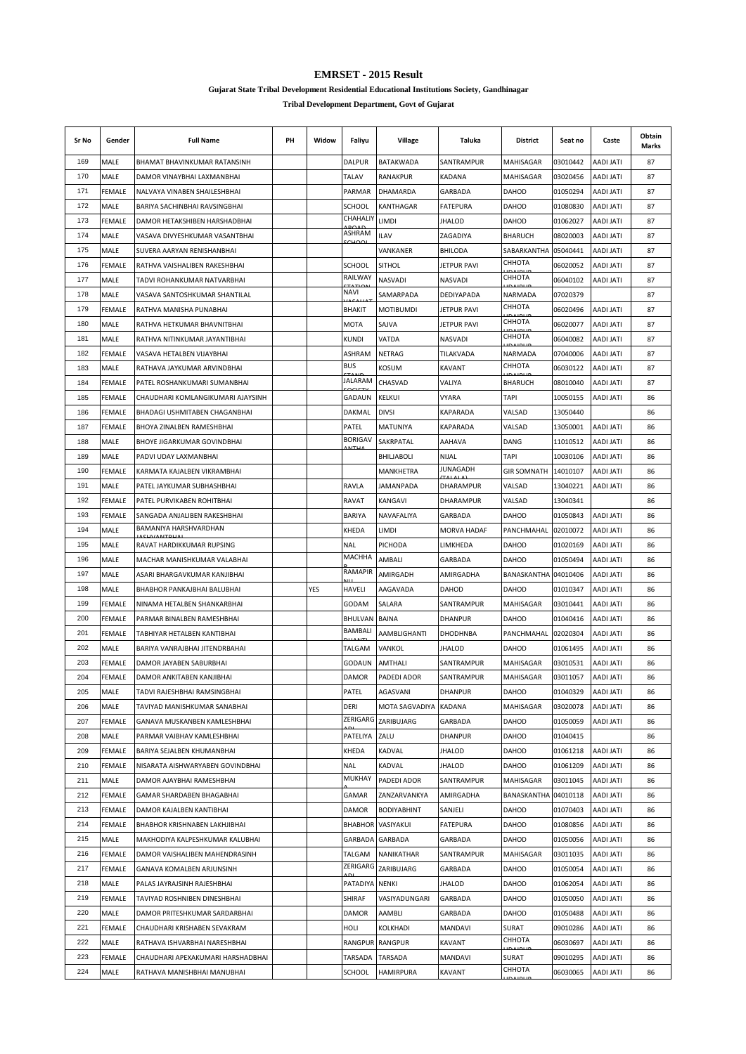**Gujarat State Tribal Development Residential Educational Institutions Society, Gandhinagar**

| Sr No | Gender        | <b>Full Name</b>                           | PН | Widow | Faliyu                  | Village            | Taluka             | <b>District</b>          | Seat no  | Caste            | Obtain<br>Marks |
|-------|---------------|--------------------------------------------|----|-------|-------------------------|--------------------|--------------------|--------------------------|----------|------------------|-----------------|
| 169   | MALE          | BHAMAT BHAVINKUMAR RATANSINH               |    |       | DALPUR                  | BATAKWADA          | SANTRAMPUR         | MAHISAGAR                | 03010442 | <b>AADI JATI</b> | 87              |
| 170   | <b>MALE</b>   | DAMOR VINAYBHAI LAXMANBHAI                 |    |       | <b>TALAV</b>            | <b>RANAKPUR</b>    | <b>KADANA</b>      | MAHISAGAR                | 03020456 | <b>AADI JATI</b> | 87              |
| 171   | FEMALE        | NALVAYA VINABEN SHAILESHBHAI               |    |       | PARMAR                  | DHAMARDA           | GARBADA            | <b>DAHOD</b>             | 01050294 | <b>AADI JATI</b> | 87              |
| 172   | MALE          | BARIYA SACHINBHAI RAVSINGBHAI              |    |       | <b>SCHOOL</b>           | KANTHAGAR          | <b>FATEPURA</b>    | <b>DAHOD</b>             | 01080830 | AADI JATI        | 87              |
| 173   | FEMALE        | DAMOR HETAKSHIBEN HARSHADBHAI              |    |       | CHAHALIY<br><b>DOAF</b> | limdi              | JHALOD             | DAHOD                    | 01062027 | AADI JATI        | 87              |
| 174   | MALE          | VASAVA DIVYESHKUMAR VASANTBHAI             |    |       | ASHRAM                  | <b>ILAV</b>        | ZAGADIYA           | <b>BHARUCH</b>           | 08020003 | <b>AADI JATI</b> | 87              |
| 175   | MALE          | SUVERA AARYAN RENISHANBHAI                 |    |       |                         | VANKANER           | <b>BHILODA</b>     | SABARKANTHA              | 05040441 | <b>AADI JATI</b> | 87              |
| 176   | FEMALE        | RATHVA VAISHALIBEN RAKESHBHAI              |    |       | <b>SCHOOL</b>           | <b>SITHOL</b>      | JETPUR PAVI        | СННОТА                   | 06020052 | AADI JATI        | 87              |
| 177   | MALE          | TADVI ROHANKUMAR NATVARBHAI                |    |       | RAILWAY                 | NASVADI            | NASVADI            | СННОТА                   | 06040102 | AADI JATI        | 87              |
| 178   | MALE          | VASAVA SANTOSHKUMAR SHANTILAL              |    |       | <b>NAVI</b>             | SAMARPADA          | DEDIYAPADA         | NARMADA                  | 07020379 |                  | 87              |
| 179   | FEMALE        | RATHVA MANISHA PUNABHAI                    |    |       | <b>BHAKIT</b>           | <b>MOTIBUMDI</b>   | JETPUR PAVI        | СННОТА<br>0.1011         | 06020496 | AADI JATI        | 87              |
| 180   | MALE          | RATHVA HETKUMAR BHAVNITBHAI                |    |       | MOTA                    | SAJVA              | <b>JETPUR PAVI</b> | СННОТА                   | 06020077 | <b>AADI JATI</b> | 87              |
| 181   | MALE          | RATHVA NITINKUMAR JAYANTIBHAI              |    |       | <b>KUNDI</b>            | VATDA              | <b>NASVADI</b>     | СННОТА<br><b>DAIDLIE</b> | 06040082 | <b>AADI JATI</b> | 87              |
| 182   | <b>FEMALE</b> | VASAVA HETALBEN VIJAYBHAI                  |    |       | ASHRAM                  | <b>NETRAG</b>      | TILAKVADA          | <b>NARMADA</b>           | 07040006 | AADI JATI        | 87              |
| 183   | MALE          | RATHAVA JAYKUMAR ARVINDBHAI                |    |       | <b>BUS</b>              | KOSUM              | <b>KAVANT</b>      | СННОТА                   | 06030122 | <b>AADI JATI</b> | 87              |
| 184   | FEMALE        | PATEL ROSHANKUMARI SUMANBHAI               |    |       | JALARAM                 | CHASVAD            | VALIYA             | <b>BHARUCH</b>           | 08010040 | AADI JATI        | 87              |
| 185   | FEMALE        | CHAUDHARI KOMLANGIKUMARI AJAYSINH          |    |       | <b>GADAUN</b>           | KELKUI             | VYARA              | TAPI                     | 10050155 | AADI JATI        | 86              |
| 186   | FEMALE        | BHADAGI USHMITABEN CHAGANBHAI              |    |       | DAKMAL                  | <b>DIVSI</b>       | <b>KAPARADA</b>    | VALSAD                   | 13050440 |                  | 86              |
| 187   | FEMALE        | BHOYA ZINALBEN RAMESHBHAI                  |    |       | PATEL                   | MATUNIYA           | KAPARADA           | VALSAD                   | 13050001 | AADI JATI        | 86              |
| 188   | MALE          | BHOYE JIGARKUMAR GOVINDBHAI                |    |       | <b>BORIGAV</b>          | SAKRPATAL          | <b>AAHAVA</b>      | DANG                     | 11010512 | <b>AADI JATI</b> | 86              |
| 189   | MALE          | PADVI UDAY LAXMANBHAI                      |    |       |                         | <b>BHILJABOLI</b>  | NIJAL              | TAPI                     | 10030106 | <b>AADI JATI</b> | 86              |
| 190   | FEMALE        | KARMATA KAJALBEN VIKRAMBHAI                |    |       |                         | MANKHETRA          | JUNAGADH           | <b>GIR SOMNATH</b>       | 14010107 | AADI JATI        | 86              |
| 191   | MALE          | PATEL JAYKUMAR SUBHASHBHAI                 |    |       | RAVLA                   | JAMANPADA          | DHARAMPUR          | VALSAD                   | 13040221 | <b>AADI JATI</b> | 86              |
| 192   | <b>FEMALE</b> | PATEL PURVIKABEN ROHITBHAI                 |    |       | RAVAT                   | KANGAVI            | <b>DHARAMPUR</b>   | VALSAD                   | 13040341 |                  | 86              |
| 193   | FEMALE        | SANGADA ANJALIBEN RAKESHBHAI               |    |       | <b>BARIYA</b>           | NAVAFALIYA         | GARBADA            | DAHOD                    | 01050843 | <b>AADI JATI</b> | 86              |
| 194   | MALE          | BAMANIYA HARSHVARDHAN<br><b>CULLANTDUA</b> |    |       | KHEDA                   | LIMDI              | <b>MORVA HADAF</b> | PANCHMAHAL               | 02010072 | <b>AADI JATI</b> | 86              |
| 195   | MALE          | RAVAT HARDIKKUMAR RUPSING                  |    |       | <b>NAL</b>              | PICHODA            | LIMKHEDA           | <b>DAHOD</b>             | 01020169 | <b>AADI JATI</b> | 86              |
| 196   | MALE          | MACHAR MANISHKUMAR VALABHAI                |    |       | MACHHA                  | AMBALI             | GARBADA            | DAHOD                    | 01050494 | <b>AADI JATI</b> | 86              |
| 197   | MALE          | ASARI BHARGAVKUMAR KANJIBHAI               |    |       | RAMAPIR                 | AMIRGADH           | AMIRGADHA          | BANASKANTHA 04010406     |          | <b>AADI JATI</b> | 86              |
| 198   | MALE          | BHABHOR PANKAJBHAI BALUBHAI                |    | YES   | HAVELI                  | AAGAVADA           | <b>DAHOD</b>       | DAHOD                    | 01010347 | AADI JATI        | 86              |
| 199   | FEMALE        | NINAMA HETALBEN SHANKARBHAI                |    |       | GODAM                   | SALARA             | SANTRAMPUR         | MAHISAGAR                | 03010441 | AADI JATI        | 86              |
| 200   | FEMALE        | PARMAR BINALBEN RAMESHBHAI                 |    |       | <b>BHULVAN</b>          | BAINA              | <b>DHANPUR</b>     | DAHOD                    | 01040416 | <b>AADI JATI</b> | 86              |
| 201   | <b>FEMALE</b> | TABHIYAR HETALBEN KANTIBHAI                |    |       | BAMBALI                 | AAMBLIGHANTI       | <b>DHODHNBA</b>    | PANCHMAHAL               | 02020304 | <b>AADI JATI</b> | 86              |
| 202   | MALE          | BARIYA VANRAJBHAI JITENDRBAHAI             |    |       | TALGAM                  | VANKOL             | <b>JHALOD</b>      | DAHOD                    | 01061495 | <b>ITAL IGAA</b> | 86              |
| 203   | FEMALE        | DAMOR JAYABEN SABURBHAI                    |    |       | GODAUN                  | AMTHALI            | SANTRAMPUR         | MAHISAGAR                | 03010531 | <b>ITAL IGAA</b> | 86              |
| 204   | FEMALE        | DAMOR ANKITABEN KANJIBHAI                  |    |       | DAMOR                   | PADEDI ADOR        | SANTRAMPUR         | MAHISAGAR                | 03011057 | ITAL IQAA        | 86              |
| 205   | MALE          | TADVI RAJESHBHAI RAMSINGBHAI               |    |       | PATEL                   | AGASVANI           | <b>DHANPUR</b>     | DAHOD                    | 01040329 | AADI JATI        | 86              |
| 206   | MALE          | TAVIYAD MANISHKUMAR SANABHAI               |    |       | DERI                    | MOTA SAGVADIYA     | <b>KADANA</b>      | MAHISAGAR                | 03020078 | <b>AADI JATI</b> | 86              |
| 207   | <b>FEMALE</b> | GANAVA MUSKANBEN KAMLESHBHAI               |    |       | ZERIGARG                | ZARIBUJARG         | GARBADA            | DAHOD                    | 01050059 | <b>AADI JATI</b> | 86              |
| 208   | MALE          | PARMAR VAIBHAV KAMLESHBHAI                 |    |       | PATELIYA                | ZALU               | <b>DHANPUR</b>     | <b>DAHOD</b>             | 01040415 |                  | 86              |
| 209   | FEMALE        | BARIYA SEJALBEN KHUMANBHAI                 |    |       | KHEDA                   | KADVAL             | <b>JHALOD</b>      | <b>DAHOD</b>             | 01061218 | AADI JATI        | 86              |
| 210   | FEMALE        | NISARATA AISHWARYABEN GOVINDBHAI           |    |       | NAL                     | KADVAL             | <b>JHALOD</b>      | DAHOD                    | 01061209 | AADI JATI        | 86              |
| 211   | MALE          | DAMOR AJAYBHAI RAMESHBHAI                  |    |       | MUKHAY                  | PADEDI ADOR        | SANTRAMPUR         | MAHISAGAR                | 03011045 | AADI JATI        | 86              |
| 212   | FEMALE        | GAMAR SHARDABEN BHAGABHAI                  |    |       | GAMAR                   | ZANZARVANKYA       | AMIRGADHA          | BANASKANTHA              | 04010118 | <b>AADI JATI</b> | 86              |
| 213   | FEMALE        | DAMOR KAJALBEN KANTIBHAI                   |    |       | DAMOR                   | <b>BODIYABHINT</b> | SANJELI            | DAHOD                    | 01070403 | <b>AADI JATI</b> | 86              |
| 214   | FEMALE        | BHABHOR KRISHNABEN LAKHJIBHAI              |    |       | <b>BHABHOR</b>          | VASIYAKUI          | <b>FATEPURA</b>    | DAHOD                    | 01080856 | <b>AADI JATI</b> | 86              |
| 215   | MALE          | MAKHODIYA KALPESHKUMAR KALUBHAI            |    |       | GARBADA                 | <b>GARBADA</b>     | GARBADA            | DAHOD                    | 01050056 | AADI JATI        | 86              |
| 216   | FEMALE        | DAMOR VAISHALIBEN MAHENDRASINH             |    |       | TALGAM                  | NANIKATHAR         | SANTRAMPUR         | MAHISAGAR                | 03011035 | <b>AADI JATI</b> | 86              |
| 217   | FEMALE        | GANAVA KOMALBEN ARJUNSINH                  |    |       | ZERIGARG                | ZARIBUJARG         | GARBADA            | DAHOD                    | 01050054 | AADI JATI        | 86              |
| 218   | MALE          | PALAS JAYRAJSINH RAJESHBHAI                |    |       | PATADIYA                | <b>NENKI</b>       | <b>JHALOD</b>      | DAHOD                    | 01062054 | <b>AADI JATI</b> | 86              |
| 219   | FEMALE        | TAVIYAD ROSHNIBEN DINESHBHAI               |    |       | SHIRAF                  | VASIYADUNGARI      | GARBADA            | DAHOD                    | 01050050 | <b>AADI JATI</b> | 86              |
| 220   | MALE          | DAMOR PRITESHKUMAR SARDARBHAI              |    |       | DAMOR                   | AAMBLI             | GARBADA            | DAHOD                    | 01050488 | AADI JATI        | 86              |
| 221   | FEMALE        | CHAUDHARI KRISHABEN SEVAKRAM               |    |       | HOLI                    | KOLKHADI           | <b>MANDAVI</b>     | SURAT                    | 09010286 | AADI JATI        | 86              |
| 222   | MALE          | RATHAVA ISHVARBHAI NARESHBHAI              |    |       | RANGPUR                 | <b>RANGPUR</b>     | KAVANT             | СННОТА                   | 06030697 | AADI JATI        | 86              |
| 223   | FEMALE        | CHAUDHARI APEXAKUMARI HARSHADBHAI          |    |       | TARSADA                 | TARSADA            | MANDAVI            | SURAT                    | 09010295 | <b>AADI JATI</b> | 86              |
| 224   | MALE          | RATHAVA MANISHBHAI MANUBHAI                |    |       | SCHOOL                  | <b>HAMIRPURA</b>   | <b>KAVANT</b>      | СННОТА                   | 06030065 | AADI JATI        | 86              |
|       |               |                                            |    |       |                         |                    |                    |                          |          |                  |                 |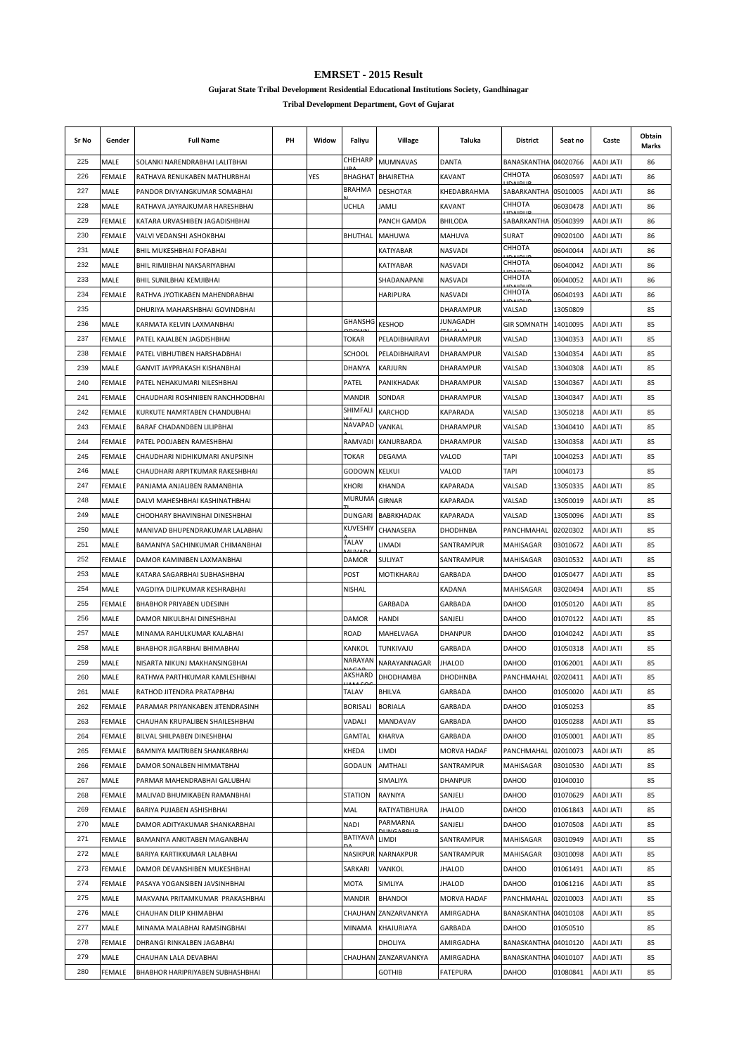**Gujarat State Tribal Development Residential Educational Institutions Society, Gandhinagar**

| Sr No | Gender        | <b>Full Name</b>                                              | PH | Widow | Faliyu                  | Village                   | Taluka             | District                   | Seat no              | Caste                                | Obtain<br>Marks |
|-------|---------------|---------------------------------------------------------------|----|-------|-------------------------|---------------------------|--------------------|----------------------------|----------------------|--------------------------------------|-----------------|
| 225   | MALE          | SOLANKI NARENDRABHAI LALITBHAI                                |    |       | CHEHARP                 | <b>MUMNAVAS</b>           | <b>DANTA</b>       | BANASKANTHA 04020766       |                      | <b>AADI JATI</b>                     | 86              |
| 226   | <b>FEMALE</b> | RATHAVA RENUKABEN MATHURBHAI                                  |    | YES   | <b>BHAGHAT</b>          | <b>BHAIRETHA</b>          | KAVANT             | СННОТА                     | 06030597             | <b>AADI JATI</b>                     | 86              |
| 227   | MALE          | PANDOR DIVYANGKUMAR SOMABHAI                                  |    |       | <b>BRAHMA</b>           | <b>DESHOTAR</b>           | KHEDABRAHMA        | SABARKANTHA                | 05010005             | AADI JATI                            | 86              |
| 228   | MALE          | RATHAVA JAYRAJKUMAR HARESHBHAI                                |    |       | <b>UCHLA</b>            | JAMLI                     | <b>KAVANT</b>      | СННОТА                     | 06030478             | <b>AADI JATI</b>                     | 86              |
| 229   | FEMALE        | KATARA URVASHIBEN JAGADISHBHAI                                |    |       |                         | PANCH GAMDA               | <b>BHILODA</b>     | SABARKANTHA                | 05040399             | <b>AADI JATI</b>                     | 86              |
| 230   | FEMALE        | VALVI VEDANSHI ASHOKBHAI                                      |    |       | <b>BHUTHAL</b>          | <b>MAHUWA</b>             | <b>MAHUVA</b>      | SURAT                      | 09020100             | <b>AADI JATI</b>                     | 86              |
| 231   | MALE          | BHIL MUKESHBHAI FOFABHAI                                      |    |       |                         | KATIYABAR                 | NASVADI            | СННОТА                     | 06040044             | <b>AADI JATI</b>                     | 86              |
| 232   | MALE          | BHIL RIMJIBHAI NAKSARIYABHAI                                  |    |       |                         | KATIYABAR                 | NASVADI            | CHHOTA                     | 06040042             | <b>AADI JATI</b>                     | 86              |
| 233   | MALE          | BHIL SUNILBHAI KEMJIBHAI                                      |    |       |                         | SHADANAPANI               | <b>NASVADI</b>     | СННОТА                     | 06040052             | AADI JATI                            | 86              |
| 234   | FEMALE        | RATHVA JYOTIKABEN MAHENDRABHAI                                |    |       |                         | <b>HARIPURA</b>           | <b>NASVADI</b>     | СННОТА                     | 06040193             | <b>AADI JATI</b>                     | 86              |
| 235   |               | DHURIYA MAHARSHBHAI GOVINDBHAI                                |    |       |                         |                           | <b>DHARAMPUR</b>   | VALSAD                     | 13050809             |                                      | 85              |
| 236   | MALE          | KARMATA KELVIN LAXMANBHAI                                     |    |       | GHANSHG                 | <b>KESHOD</b>             | <b>JUNAGADH</b>    | <b>GIR SOMNATH</b>         | 14010095             | AADI JATI                            | 85              |
| 237   | <b>FEMALE</b> | PATEL KAJALBEN JAGDISHBHAI                                    |    |       | <b>TOKAR</b>            | PELADIBHAIRAVI            | <b>DHARAMPUR</b>   | VALSAD                     | 13040353             | AADI JATI                            | 85              |
| 238   | <b>FEMALE</b> | PATEL VIBHUTIBEN HARSHADBHAI                                  |    |       | <b>SCHOOL</b>           | PELADIBHAIRAVI            | DHARAMPUR          | VALSAD                     | 13040354             | <b>AADI JATI</b>                     | 85              |
| 239   | MALE          | GANVIT JAYPRAKASH KISHANBHAI                                  |    |       | DHANYA                  | <b>KARJURN</b>            | DHARAMPUR          | VALSAD                     | 13040308             | AADI JATI                            | 85              |
| 240   | FEMALE        | PATEL NEHAKUMARI NILESHBHAI                                   |    |       | PATEL                   | PANIKHADAK                | DHARAMPUR          | VALSAD                     | 13040367             | AADI JATI                            | 85              |
| 241   | FEMALE        | CHAUDHARI ROSHNIBEN RANCHHODBHAI                              |    |       | <b>MANDIR</b>           | SONDAR                    | DHARAMPUR          | VALSAD                     | 13040347             | AADI JATI                            | 85              |
| 242   | <b>FEMALE</b> | KURKUTE NAMRTABEN CHANDUBHAI                                  |    |       | SHIMFALI                | KARCHOD                   | KAPARADA           | VALSAD                     | 13050218             | AADI JATI                            | 85              |
| 243   | FEMALE        | BARAF CHADANDBEN LILIPBHAI                                    |    |       | <b>NAVAPAD</b>          | VANKAL                    | DHARAMPUR          | VALSAD                     | 13040410             | <b>AADI JATI</b>                     | 85              |
| 244   | FEMALE        | PATEL POOJABEN RAMESHBHAI                                     |    |       | RAMVADI                 | KANURBARDA                | DHARAMPUR          | VALSAD                     | 13040358             | AADI JATI                            | 85              |
| 245   | FEMALE        | CHAUDHARI NIDHIKUMARI ANUPSINH                                |    |       | <b>TOKAR</b>            | DEGAMA                    | VALOD              | TAPI                       | 10040253             | <b>AADI JATI</b>                     | 85              |
| 246   | MALE          | CHAUDHARI ARPITKUMAR RAKESHBHAI                               |    |       | GODOWN                  | <b>KELKUI</b>             | VALOD              | TAPI                       | 10040173             |                                      | 85              |
| 247   | <b>FEMALE</b> | PANJAMA ANJALIBEN RAMANBHIA                                   |    |       | KHORI                   | KHANDA                    | KAPARADA           | VALSAD                     | 13050335             | <b>AADI JATI</b>                     | 85              |
| 248   | MALE          | DALVI MAHESHBHAI KASHINATHBHAI                                |    |       | <b>MURUMA</b>           | GIRNAR                    | <b>KAPARADA</b>    | VALSAD                     | 13050019             | <b>AADI JATI</b>                     | 85              |
| 249   | MALE          | CHODHARY BHAVINBHAI DINESHBHAI                                |    |       | <b>DUNGARI</b>          | BABRKHADAK                | <b>KAPARADA</b>    | VALSAD                     | 13050096             | AADI JATI                            | 85              |
| 250   | MALE          | MANIVAD BHUPENDRAKUMAR LALABHAI                               |    |       | KUVESHIY                | CHANASERA                 | <b>DHODHNBA</b>    | PANCHMAHAL                 | 02020302             | AADI JATI                            | 85              |
| 251   | MALE          | BAMANIYA SACHINKUMAR CHIMANBHAI                               |    |       | <b>TALAV</b>            | LIMADI                    | SANTRAMPUR         | MAHISAGAR                  | 03010672             | <b>AADI JATI</b>                     | 85              |
| 252   | FEMALE        | DAMOR KAMINIBEN LAXMANBHAI                                    |    |       | DAMOR                   | SULIYAT                   | SANTRAMPUR         | MAHISAGAR                  | 03010532             | AADI JATI                            | 85              |
| 253   | MALE          | KATARA SAGARBHAI SUBHASHBHAI                                  |    |       | POST                    | MOTIKHARAJ                | GARBADA            | DAHOD                      | 01050477             | AADI JATI                            | 85              |
| 254   | MALE          | VAGDIYA DILIPKUMAR KESHRABHAI                                 |    |       | NISHAL                  |                           | KADANA             | MAHISAGAR                  | 03020494             | <b>AADI JATI</b>                     | 85              |
| 255   | FEMALE        |                                                               |    |       |                         | GARBADA                   |                    |                            | 01050120             |                                      | 85              |
| 256   | MALE          | <b>BHABHOR PRIYABEN UDESINH</b><br>DAMOR NIKULBHAI DINESHBHAI |    |       | DAMOR                   | <b>HANDI</b>              | GARBADA<br>SANJELI | DAHOD<br><b>DAHOD</b>      | 01070122             | <b>AADI JATI</b><br><b>AADI JATI</b> | 85              |
| 257   | MALE          | MINAMA RAHULKUMAR KALABHAI                                    |    |       | <b>ROAD</b>             | MAHELVAGA                 | DHANPUR            | <b>DAHOD</b>               | 01040242             | <b>AADI JATI</b>                     | 85              |
| 258   |               |                                                               |    |       |                         |                           | GARBADA            |                            |                      |                                      |                 |
| 259   | MALE          | BHABHOR JIGARBHAI BHIMABHAI<br>NISARTA NIKUNJ MAKHANSINGBHAI  |    |       | KANKOL<br>NARAYAN       | TUNKIVAJU<br>NARAYANNAGAR | <b>JHALOD</b>      | <b>DAHOD</b>               | 01050318<br>01062001 | <b>AADI JATI</b>                     | 85              |
| 260   | MALE          |                                                               |    |       | AKSHARD                 | <b>DHODHAMBA</b>          | <b>DHODHNBA</b>    | <b>DAHOD</b><br>PANCHMAHAL | 02020411             | AADI JATI                            | 85<br>85        |
|       | MALE          | RATHWA PARTHKUMAR KAMLESHBHAI                                 |    |       |                         |                           |                    |                            |                      | <b>AADI JATI</b>                     |                 |
| 261   | MALE          | RATHOD JITENDRA PRATAPBHAI                                    |    |       | <b>TALAV</b>            | <b>BHILVA</b>             | GARBADA            | DAHOD                      | 01050020             | AADI JATI                            | 85              |
| 262   | FEMALE        | PARAMAR PRIYANKABEN JITENDRASINH                              |    |       | <b>BORISALI</b>         | <b>BORIALA</b>            | GARBADA            | DAHOD                      | 01050253             |                                      | 85              |
| 263   | FEMALE        | CHAUHAN KRUPALIBEN SHAILESHBHAI                               |    |       | VADALI                  | MANDAVAV                  | GARBADA            | DAHOD                      | 01050288             | AADI JATI                            | 85              |
| 264   | <b>FEMALE</b> | BILVAL SHILPABEN DINESHBHAI                                   |    |       | GAMTAL                  | <b>KHARVA</b>             | GARBADA            | <b>DAHOD</b>               | 01050001             | AADI JATI                            | 85              |
| 265   | FEMALE        | BAMNIYA MAITRIBEN SHANKARBHAI                                 |    |       | KHEDA                   | LIMDI                     | <b>MORVA HADAF</b> | PANCHMAHAL                 | 02010073             | AADI JATI                            | 85              |
| 266   | FEMALE        | DAMOR SONALBEN HIMMATBHAI                                     |    |       | GODAUN                  | AMTHALI                   | SANTRAMPUR         | MAHISAGAR                  | 03010530             | AADI JATI                            | 85              |
| 267   | MALE          | PARMAR MAHENDRABHAI GALUBHAI                                  |    |       |                         | SIMALIYA                  | <b>DHANPUR</b>     | DAHOD                      | 01040010             |                                      | 85              |
| 268   | FEMALE        | MALIVAD BHUMIKABEN RAMANBHAI                                  |    |       | <b>STATION</b>          | RAYNIYA                   | SANJELI            | DAHOD                      | 01070629             | AADI JATI                            | 85              |
| 269   | FEMALE        | BARIYA PUJABEN ASHISHBHAI                                     |    |       | MAL                     | RATIYATIBHURA             | <b>JHALOD</b>      | DAHOD                      | 01061843             | AADI JATI                            | 85              |
| 270   | MALE          | DAMOR ADITYAKUMAR SHANKARBHAI                                 |    |       | NADI<br><b>BATIYAVA</b> | PARMARNA                  | SANJELI            | <b>DAHOD</b>               | 01070508             | AADI JATI                            | 85              |
| 271   | FEMALE        | BAMANIYA ANKITABEN MAGANBHAI                                  |    |       |                         | LIMDI                     | SANTRAMPUR         | MAHISAGAR                  | 03010949             | AADI JATI                            | 85              |
| 272   | MALE          | BARIYA KARTIKKUMAR LALABHAI                                   |    |       | <b>NASIKPUR</b>         | <b>NARNAKPUR</b>          | SANTRAMPUR         | MAHISAGAR                  | 03010098             | AADI JATI                            | 85              |
| 273   | FEMALE        | DAMOR DEVANSHIBEN MUKESHBHAI                                  |    |       | SARKARI                 | VANKOL                    | <b>JHALOD</b>      | DAHOD                      | 01061491             | AADI JATI                            | 85              |
| 274   | FEMALE        | PASAYA YOGANSIBEN JAVSINHBHAI                                 |    |       | MOTA                    | SIMLIYA                   | <b>JHALOD</b>      | DAHOD                      | 01061216             | AADI JATI                            | 85              |
| 275   | MALE          | MAKVANA PRITAMKUMAR PRAKASHBHAI                               |    |       | MANDIR                  | <b>BHANDOI</b>            | <b>MORVA HADAF</b> | PANCHMAHAL                 | 02010003             | AADI JATI                            | 85              |
| 276   | MALE          | CHAUHAN DILIP KHIMABHAI                                       |    |       |                         | CHAUHAN ZANZARVANKYA      | AMIRGADHA          | BANASKANTHA 04010108       |                      | AADI JATI                            | 85              |
| 277   | MALE          | MINAMA MALABHAI RAMSINGBHAI                                   |    |       | MINAMA                  | <b>KHAJURIAYA</b>         | GARBADA            | <b>DAHOD</b>               | 01050510             |                                      | 85              |
| 278   | FEMALE        | DHRANGI RINKALBEN JAGABHAI                                    |    |       |                         | DHOLIYA                   | AMIRGADHA          | BANASKANTHA 04010120       |                      | AADI JATI                            | 85              |
| 279   | MALE          | CHAUHAN LALA DEVABHAI                                         |    |       |                         | CHAUHAN ZANZARVANKYA      | AMIRGADHA          | BANASKANTHA 04010107       |                      | AADI JATI                            | 85              |
| 280   | FEMALE        | BHABHOR HARIPRIYABEN SUBHASHBHAI                              |    |       |                         | <b>GOTHIB</b>             | <b>FATEPURA</b>    | DAHOD                      | 01080841             | <b>AADI JATI</b>                     | 85              |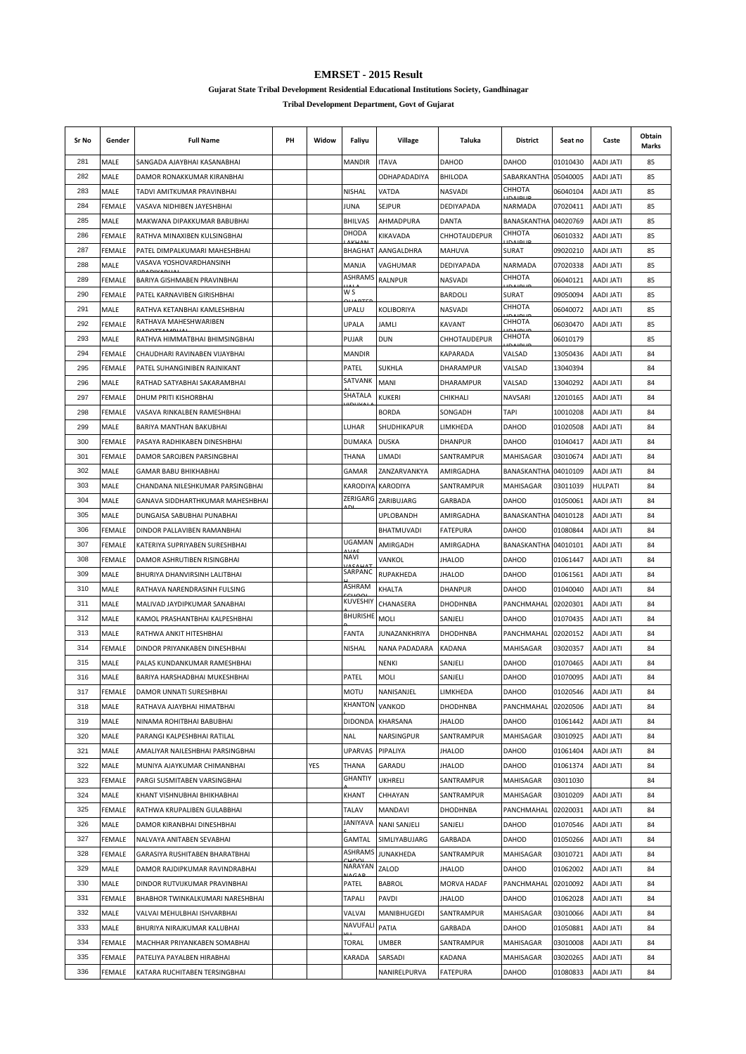**Gujarat State Tribal Development Residential Educational Institutions Society, Gandhinagar**

| Sr No | Gender        | <b>Full Name</b>                 | PH | Widow | Faliyu                 | Village             | Taluka               | <b>District</b>           | Seat no  | Caste                         | Obtain<br>Marks |
|-------|---------------|----------------------------------|----|-------|------------------------|---------------------|----------------------|---------------------------|----------|-------------------------------|-----------------|
| 281   | MALE          | SANGADA AJAYBHAI KASANABHAI      |    |       | <b>MANDIR</b>          | <b>ITAVA</b>        | <b>DAHOD</b>         | <b>DAHOD</b>              | 01010430 | <b>AADI JATI</b>              | 85              |
| 282   | MALE          | DAMOR RONAKKUMAR KIRANBHAI       |    |       |                        | ODHAPADADIYA        | <b>BHILODA</b>       | SABARKANTHA               | 05040005 | <b>AADI JATI</b>              | 85              |
| 283   | MALE          | TADVI AMITKUMAR PRAVINBHAI       |    |       | <b>NISHAL</b>          | VATDA               | <b>NASVADI</b>       | CHHOTA                    | 06040104 | AADI JATI                     | 85              |
| 284   | <b>FEMALE</b> | VASAVA NIDHIBEN JAYESHBHAI       |    |       | <b>JUNA</b>            | SEJPUR              | DEDIYAPADA           | NARMADA                   | 07020411 | AADI JATI                     | 85              |
| 285   | MALE          | MAKWANA DIPAKKUMAR BABUBHAI      |    |       | <b>BHILVAS</b>         | AHMADPURA           | <b>DANTA</b>         | BANASKANTHA               | 04020769 | <b>AADI JATI</b>              | 85              |
| 286   | FEMALE        | RATHVA MINAXIBEN KULSINGBHAI     |    |       | DHODA                  | KIKAVADA            | CHHOTAUDEPUR         | СННОТА                    | 06010332 | <b>AADI JATI</b>              | 85              |
| 287   | FEMALE        | PATEL DIMPALKUMARI MAHESHBHAI    |    |       | <b>BHAGHAT</b>         | AANGALDHRA          | <b>MAHUVA</b>        | <b>SURAT</b>              | 09020210 | <b>AADI JATI</b>              | 85              |
| 288   | MALE          | VASAVA YOSHOVARDHANSINH          |    |       | MANJA                  | VAGHUMAR            | DEDIYAPADA           | NARMADA                   | 07020338 | <b>AADI JATI</b>              | 85              |
| 289   | <b>FEMALE</b> | BARIYA GISHMABEN PRAVINBHAI      |    |       | <b>ASHRAMS</b>         | <b>RALNPUR</b>      | <b>NASVADI</b>       | СННОТА                    | 06040121 | AADI JATI                     | 85              |
| 290   | FEMALE        | PATEL KARNAVIBEN GIRISHBHAI      |    |       | W S                    |                     | <b>BARDOLI</b>       | SURAT                     | 09050094 | AADI JATI                     | 85              |
| 291   | MALE          | RATHVA KETANBHAI KAMLESHBHAI     |    |       | UPALU                  | <b>KOLIBORIYA</b>   | NASVADI              | СННОТА                    | 06040072 | <b>AADI JATI</b>              | 85              |
| 292   | <b>FEMALE</b> | RATHAVA MAHESHWARIBEN            |    |       | UPALA                  | JAMLI               | <b>KAVANT</b>        | <b>IDAIDLIF</b><br>СННОТА | 06030470 | <b>AADI JATI</b>              | 85              |
| 293   | MALE          | RATHVA HIMMATBHAI BHIMSINGBHAI   |    |       | PUJAR                  | <b>DUN</b>          | CHHOTAUDEPUR         | СННОТА                    | 06010179 |                               | 85              |
| 294   | <b>FEMALE</b> | CHAUDHARI RAVINABEN VIJAYBHAI    |    |       | MANDIR                 |                     | KAPARADA             | VALSAD                    | 13050436 | AADI JATI                     | 84              |
| 295   | <b>FEMALE</b> | PATEL SUHANGINIBEN RAJNIKANT     |    |       | PATEL                  | <b>SUKHLA</b>       | DHARAMPUR            | VALSAD                    | 13040394 |                               | 84              |
| 296   | MALE          | RATHAD SATYABHAI SAKARAMBHAI     |    |       | SATVANK                | MANI                | DHARAMPUR            | VALSAD                    | 13040292 | AADI JATI                     | 84              |
| 297   | FEMALE        | DHUM PRITI KISHORBHAI            |    |       | SHATALA                | KUKERI              | CHIKHALI             | NAVSARI                   | 12010165 | AADI JATI                     | 84              |
| 298   | <b>FEMALE</b> | VASAVA RINKALBEN RAMESHBHAI      |    |       |                        | <b>BORDA</b>        | SONGADH              | TAPI                      | 10010208 | <b>AADI JATI</b>              | 84              |
| 299   | MALE          | BARIYA MANTHAN BAKUBHAI          |    |       | LUHAR                  | SHUDHIKAPUR         | LIMKHEDA             | <b>DAHOD</b>              | 01020508 | AADI JATI                     | 84              |
| 300   | FEMALE        | PASAYA RADHIKABEN DINESHBHAI     |    |       | <b>DUMAKA</b>          | <b>DUSKA</b>        | DHANPUR              | DAHOD                     | 01040417 | <b>AADI JATI</b>              | 84              |
| 301   | FEMALE        | DAMOR SAROJBEN PARSINGBHAI       |    |       | THANA                  | LIMADI              | SANTRAMPUR           | MAHISAGAR                 | 03010674 | <b>AADI JATI</b>              | 84              |
| 302   | MALE          | GAMAR BABU BHIKHABHAI            |    |       | GAMAR                  | ZANZARVANKYA        | AMIRGADHA            | <b>BANASKANTHA</b>        | 04010109 | AADI JATI                     | 84              |
| 303   | MALE          |                                  |    |       | KARODIYA               | <b>KARODIYA</b>     | SANTRAMPUR           |                           | 03011039 | HULPATI                       | 84              |
| 304   | MALE          | CHANDANA NILESHKUMAR PARSINGBHAI |    |       | ZERIGARG               | ZARIBUJARG          |                      | MAHISAGAR<br>DAHOD        | 01050061 |                               |                 |
| 305   | MALE          | GANAVA SIDDHARTHKUMAR MAHESHBHAI |    |       |                        | <b>UPLOBANDH</b>    | GARBADA<br>AMIRGADHA | BANASKANTHA 04010128      |          | AADI JATI<br><b>AADI JATI</b> | 84<br>84        |
|       |               | DUNGAISA SABUBHAI PUNABHAI       |    |       |                        |                     |                      |                           |          |                               |                 |
| 306   | <b>FEMALE</b> | DINDOR PALLAVIBEN RAMANBHAI      |    |       | <b>UGAMAN</b>          | BHATMUVADI          | <b>FATEPURA</b>      | <b>DAHOD</b>              | 01080844 | <b>AADI JATI</b>              | 84              |
| 307   | <b>FEMALE</b> | KATERIYA SUPRIYABEN SURESHBHAI   |    |       | <b>NAVI</b>            | AMIRGADH            | AMIRGADHA            | BANASKANTHA 04010101      |          | AADI JATI                     | 84              |
| 308   | FEMALE        | DAMOR ASHRUTIBEN RISINGBHAI      |    |       | SARPANC                | VANKOL              | <b>JHALOD</b>        | <b>DAHOD</b>              | 01061447 | AADI JATI                     | 84              |
| 309   | MALE          | BHURIYA DHANVIRSINH LALITBHAI    |    |       | ASHRAM                 | RUPAKHEDA           | <b>JHALOD</b>        | DAHOD                     | 01061561 | AADI JATI                     | 84              |
| 310   | MALE          | RATHAVA NARENDRASINH FULSING     |    |       | <b>KUVESHIY</b>        | KHALTA              | <b>DHANPUR</b>       | DAHOD                     | 01040040 | AADI JATI                     | 84              |
| 311   | MALE          | MALIVAD JAYDIPKUMAR SANABHAI     |    |       | <b>BHURISHE</b>        | CHANASERA           | <b>DHODHNBA</b>      | PANCHMAHAL                | 02020301 | <b>AADI JATI</b>              | 84              |
| 312   | MALE          | KAMOL PRASHANTBHAI KALPESHBHAI   |    |       |                        | MOLI                | SANJELI              | <b>DAHOD</b>              | 01070435 | <b>AADI JATI</b>              | 84              |
| 313   | MALE          | RATHWA ANKIT HITESHBHAI          |    |       | <b>FANTA</b>           | JUNAZANKHRIYA       | <b>DHODHNBA</b>      | PANCHMAHAL                | 02020152 | <b>AADI JATI</b>              | 84              |
| 314   | <b>FEMALE</b> | DINDOR PRIYANKABEN DINESHBHAI    |    |       | NISHAL                 | NANA PADADARA       | KADANA               | <b>MAHISAGAR</b>          | 03020357 | AADI JATI                     | 84              |
| 315   | MALE          | PALAS KUNDANKUMAR RAMESHBHAI     |    |       |                        | NENKI               | SANJELI              | <b>DAHOD</b>              | 01070465 | AADI JATI                     | 84              |
| 316   | MALE          | BARIYA HARSHADBHAI MUKESHBHAI    |    |       | PATEL                  | MOLI                | SANJELI              | <b>DAHOD</b>              | 01070095 | <b>AADI JATI</b>              | 84              |
| 317   | <b>FEMALE</b> | DAMOR UNNATI SURESHBHAI          |    |       | <b>MOTU</b>            | NANISANJEL          | LIMKHEDA             | DAHOD                     | 01020546 | AADI JATI                     | 84              |
| 318   | MALE          | RATHAVA AJAYBHAI HIMATBHAI       |    |       | KHANTON                | VANKOD              | <b>DHODHNBA</b>      | PANCHMAHAL                | 02020506 | <b>AADI JATI</b>              | 84              |
| 319   | MALE          | NINAMA ROHITBHAI BABUBHAI        |    |       | <b>DIDONDA</b>         | <b>KHARSANA</b>     | <b>JHALOD</b>        | DAHOD                     | 01061442 | <b>AADI JATI</b>              | 84              |
| 320   | MALE          | PARANGI KALPESHBHAI RATILAL      |    |       | <b>NAL</b>             | NARSINGPUR          | SANTRAMPUR           | MAHISAGAR                 | 03010925 | AADI JATI                     | 84              |
| 321   | MALE          | AMALIYAR NAILESHBHAI PARSINGBHAI |    |       | UPARVAS                | PIPALIYA            | <b>JHALOD</b>        | DAHOD                     | 01061404 | AADI JATI                     | 84              |
| 322   | MALE          | MUNIYA AJAYKUMAR CHIMANBHAI      |    | YES   | THANA                  | GARADU              | JHALOD               | DAHOD                     | 01061374 | AADI JATI                     | 84              |
| 323   | FEMALE        | PARGI SUSMITABEN VARSINGBHAI     |    |       | <b>GHANTIY</b>         | UKHRELI             | SANTRAMPUR           | MAHISAGAR                 | 03011030 |                               | 84              |
| 324   | MALE          | KHANT VISHNUBHAI BHIKHABHAI      |    |       | KHANT                  | CHHAYAN             | SANTRAMPUR           | MAHISAGAR                 | 03010209 | <b>AADI JATI</b>              | 84              |
| 325   | FEMALE        | RATHWA KRUPALIBEN GULABBHAI      |    |       | TALAV                  | <b>MANDAVI</b>      | DHODHNBA             | PANCHMAHAL                | 02020031 | <b>AADI JATI</b>              | 84              |
| 326   | MALE          | DAMOR KIRANBHAI DINESHBHAI       |    |       | JANIYAVA               | <b>NANI SANJELI</b> | SANJELI              | DAHOD                     | 01070546 | AADI JATI                     | 84              |
| 327   | FEMALE        | NALVAYA ANITABEN SEVABHAI        |    |       | <b>GAMTAL</b>          | SIMLIYABUJARG       | GARBADA              | DAHOD                     | 01050266 | <b>AADI JATI</b>              | 84              |
| 328   | FEMALE        | GARASIYA RUSHITABEN BHARATBHAI   |    |       | <b>ASHRAMS</b><br>بممت | JUNAKHEDA           | SANTRAMPUR           | MAHISAGAR                 | 03010721 | AADI JATI                     | 84              |
| 329   | MALE          | DAMOR RAJDIPKUMAR RAVINDRABHAI   |    |       | NARAYAN                | ZALOD               | <b>JHALOD</b>        | DAHOD                     | 01062002 | AADI JATI                     | 84              |
| 330   | MALE          | DINDOR RUTVIJKUMAR PRAVINBHAI    |    |       | PATEL                  | BABROL              | <b>MORVA HADAF</b>   | PANCHMAHAL                | 02010092 | AADI JATI                     | 84              |
| 331   | FEMALE        | BHABHOR TWINKALKUMARI NARESHBHAI |    |       | <b>TAPALI</b>          | PAVDI               | <b>JHALOD</b>        | DAHOD                     | 01062028 | AADI JATI                     | 84              |
| 332   | MALE          | VALVAI MEHULBHAI ISHVARBHAI      |    |       | VALVAI                 | MANIBHUGEDI         | SANTRAMPUR           | MAHISAGAR                 | 03010066 | AADI JATI                     | 84              |
| 333   | MALE          | BHURIYA NIRAJKUMAR KALUBHAI      |    |       | NAVUFALI               | PATIA               | GARBADA              | <b>DAHOD</b>              | 01050881 | AADI JATI                     | 84              |
| 334   | FEMALE        | MACHHAR PRIYANKABEN SOMABHAI     |    |       | <b>TORAL</b>           | UMBER               | SANTRAMPUR           | MAHISAGAR                 | 03010008 | AADI JATI                     | 84              |
| 335   | FEMALE        | PATELIYA PAYALBEN HIRABHAI       |    |       | KARADA                 | SARSADI             | KADANA               | MAHISAGAR                 | 03020265 | AADI JATI                     | 84              |
| 336   | FEMALE        | KATARA RUCHITABEN TERSINGBHAI    |    |       |                        | NANIRELPURVA        | <b>FATEPURA</b>      | DAHOD                     | 01080833 | <b>AADI JATI</b>              | 84              |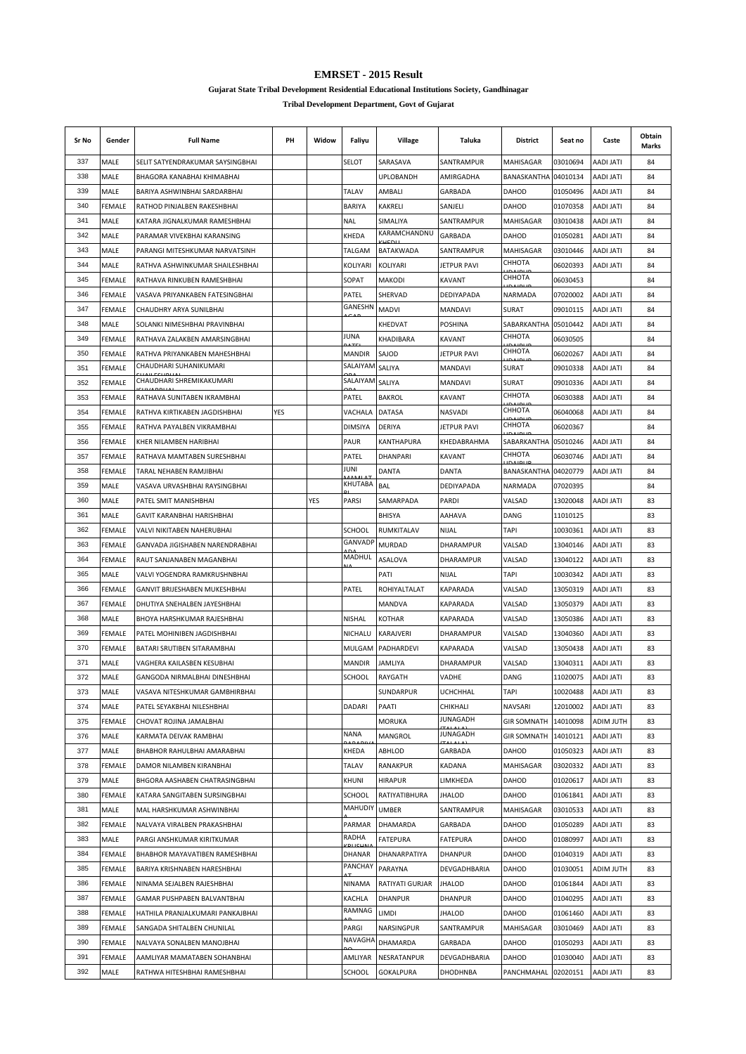**Gujarat State Tribal Development Residential Educational Institutions Society, Gandhinagar**

| Sr No | Gender                | <b>Full Name</b>                                           | PН  | Widow | Faliyu            | Village                           | Taluka                | District                 | Seat no              | Caste                         | Obtain<br>Marks |
|-------|-----------------------|------------------------------------------------------------|-----|-------|-------------------|-----------------------------------|-----------------------|--------------------------|----------------------|-------------------------------|-----------------|
| 337   | MALE                  | SELIT SATYENDRAKUMAR SAYSINGBHAI                           |     |       | SELOT             | SARASAVA                          | SANTRAMPUR            | MAHISAGAR                | 03010694             | <b>AADI JATI</b>              | 84              |
| 338   | MALE                  | BHAGORA KANABHAI KHIMABHAI                                 |     |       |                   | <b>UPLOBANDH</b>                  | AMIRGADHA             | BANASKANTHA              | 04010134             | <b>AADI JATI</b>              | 84              |
| 339   | MALE                  | BARIYA ASHWINBHAI SARDARBHAI                               |     |       | <b>TALAV</b>      | AMBALI                            | GARBADA               | DAHOD                    | 01050496             | <b>AADI JATI</b>              | 84              |
| 340   | <b>FEMALE</b>         | RATHOD PINJALBEN RAKESHBHAI                                |     |       | <b>BARIYA</b>     | KAKRELI                           | SANJELI               | <b>DAHOD</b>             | 01070358             | AADI JATI                     | 84              |
| 341   | MALE                  | KATARA JIGNALKUMAR RAMESHBHAI                              |     |       | <b>NAL</b>        | SIMALIYA                          | SANTRAMPUR            | MAHISAGAR                | 03010438             | AADI JATI                     | 84              |
| 342   | MALE                  | PARAMAR VIVEKBHAI KARANSING                                |     |       | KHEDA             | KARAMCHANDNU                      | GARBADA               | <b>DAHOD</b>             | 01050281             | <b>AADI JATI</b>              | 84              |
| 343   | MALE                  | PARANGI MITESHKUMAR NARVATSINH                             |     |       | TALGAM            | BATAKWADA                         | SANTRAMPUR            | MAHISAGAR                | 03010446             | ITAL IQAA                     | 84              |
| 344   | MALE                  | RATHVA ASHWINKUMAR SHAILESHBHAI                            |     |       | KOLIYARI          | KOLIYARI                          | JETPUR PAVI           | СННОТА                   | 06020393             | AADI JATI                     | 84              |
| 345   | <b>FEMALE</b>         | RATHAVA RINKUBEN RAMESHBHAI                                |     |       | SOPAT             | MAKODI                            | KAVANT                | СННОТА                   | 06030453             |                               | 84              |
| 346   | FEMALE                | VASAVA PRIYANKABEN FATESINGBHAI                            |     |       | PATEL             | SHERVAD                           | DEDIYAPADA            | NARMADA                  | 07020002             | <b>ITAL IGAA</b>              | 84              |
| 347   | FEMALE                | CHAUDHRY ARYA SUNILBHAI                                    |     |       | GANESHN           | <b>MADVI</b>                      | MANDAVI               | <b>SURAT</b>             | 09010115             | AADI JATI                     | 84              |
| 348   | MALE                  | SOLANKI NIMESHBHAI PRAVINBHAI                              |     |       |                   | KHEDVAT                           | <b>POSHINA</b>        | SABARKANTHA              | 05010442             | AADI JATI                     | 84              |
| 349   | <b>FEMALE</b>         | RATHAVA ZALAKBEN AMARSINGBHAI                              |     |       | JUNA              | KHADIBARA                         | <b>KAVANT</b>         | СННОТА<br><b>DAIDLIF</b> | 06030505             |                               | 84              |
| 350   | <b>FEMALE</b>         | RATHVA PRIYANKABEN MAHESHBHAI                              |     |       | <b>MANDIR</b>     | SAJOD                             | JETPUR PAVI           | СННОТА                   | 06020267             | <b>AADI JATI</b>              | 84              |
| 351   | FEMALE                | CHAUDHARI SUHANIKUMARI                                     |     |       | SALAIYAM          | SALIYA                            | <b>MANDAVI</b>        | <b>SURAT</b>             | 09010338             | <b>AADI JATI</b>              | 84              |
| 352   | FEMALE                | CHAUDHARI SHREMIKAKUMARI                                   |     |       | SALAIYAM          | SALIYA                            | MANDAVI               | <b>SURAT</b>             | 09010336             | AADI JATI                     | 84              |
| 353   | FEMALE                | RATHAVA SUNITABEN IKRAMBHAI                                |     |       | PATEL             | <b>BAKROL</b>                     | KAVANT                | СННОТА                   | 06030388             | AADI JATI                     | 84              |
| 354   | FEMALE                | RATHVA KIRTIKABEN JAGDISHBHAI                              | YES |       | VACHALA           | DATASA                            | NASVADI               | СННОТА                   | 06040068             | AADI JATI                     | 84              |
| 355   | FEMALE                | RATHVA PAYALBEN VIKRAMBHAI                                 |     |       | <b>DIMSIYA</b>    | DERIYA                            | JETPUR PAVI           | СННОТА                   | 06020367             |                               | 84              |
| 356   | FEMALE                | KHER NILAMBEN HARIBHAI                                     |     |       | PAUR              | KANTHAPURA                        | KHEDABRAHMA           | SABARKANTHA              | 05010246             | <b>AADI JATI</b>              | 84              |
| 357   | FEMALE                | RATHAVA MAMTABEN SURESHBHAI                                |     |       | PATEL             | <b>DHANPARI</b>                   | <b>KAVANT</b>         | СННОТА                   | 06030746             | <b>AADI JATI</b>              | 84              |
| 358   | FEMALE                | TARAL NEHABEN RAMJIBHAI                                    |     |       | JUNI              | DANTA                             | DANTA                 | BANASKANTHA 04020779     |                      | AADI JATI                     | 84              |
| 359   | MALE                  | VASAVA URVASHBHAI RAYSINGBHAI                              |     |       | KHUTABA           | BAL                               | DEDIYAPADA            | NARMADA                  | 07020395             |                               | 84              |
| 360   | MALE                  | PATEL SMIT MANISHBHAI                                      |     | YES   | PARSI             | SAMARPADA                         | PARDI                 | VALSAD                   | 13020048             | AADI JATI                     | 83              |
| 361   | MALE                  | GAVIT KARANBHAI HARISHBHAI                                 |     |       |                   | <b>BHISYA</b>                     | AAHAVA                | DANG                     | 11010125             |                               | 83              |
| 362   | <b>FEMALE</b>         | VALVI NIKITABEN NAHERUBHAI                                 |     |       | SCHOOL            | RUMKITALAV                        | <b>NIJAL</b>          | <b>TAPI</b>              | 10030361             | <b>AADI JATI</b>              | 83              |
| 363   | FEMALE                | GANVADA JIGISHABEN NARENDRABHAI                            |     |       | <b>GANVADP</b>    | <b>MURDAD</b>                     | <b>DHARAMPUR</b>      | VALSAD                   | 13040146             | <b>AADI JATI</b>              | 83              |
| 364   | FEMALE                | RAUT SANJANABEN MAGANBHAI                                  |     |       | MADHUL            | ASALOVA                           | DHARAMPUR             | VALSAD                   | 13040122             | <b>AADI JATI</b>              | 83              |
| 365   | MALE                  | VALVI YOGENDRA RAMKRUSHNBHAI                               |     |       |                   | PATI                              | NIJAL                 | TAPI                     | 10030342             | <b>AADI JATI</b>              | 83              |
| 366   | FEMALE                | GANVIT BRIJESHABEN MUKESHBHAI                              |     |       | PATEL             | ROHIYALTALAT                      | KAPARADA              | VALSAD                   | 13050319             | AADI JATI                     | 83              |
| 367   | FEMALE                |                                                            |     |       |                   | MANDVA                            |                       | VALSAD                   | 13050379             | AADI JATI                     | 83              |
| 368   |                       | DHUTIYA SNEHALBEN JAYESHBHAI                               |     |       |                   |                                   | KAPARADA              |                          |                      |                               | 83              |
| 369   | MALE<br><b>FEMALE</b> | BHOYA HARSHKUMAR RAJESHBHAI<br>PATEL MOHINIBEN JAGDISHBHAI |     |       | NISHAL<br>NICHALU | <b>KOTHAR</b><br><b>KARAJVERI</b> | KAPARADA<br>DHARAMPUR | VALSAD<br>VALSAD         | 13050386<br>13040360 | ITAL IQAA<br><b>AADI JATI</b> | 83              |
| 370   |                       |                                                            |     |       |                   |                                   |                       |                          |                      |                               |                 |
|       | FEMALE                | BATARI SRUTIBEN SITARAMBHAI                                |     |       | MULGAM            | PADHARDEVI                        | KAPARADA              | VALSAD                   | 13050438             | ITAL IQAA                     | 83              |
| 371   | MALE                  | VAGHERA KAILASBEN KESUBHAI                                 |     |       | MANDIR            | JAMLIYA                           | DHARAMPUR             | VALSAD                   | 13040311             | AADI JATI                     | 83              |
| 372   | MALE                  | GANGODA NIRMALBHAI DINESHBHAI                              |     |       | <b>SCHOOL</b>     | RAYGATH                           | VADHE                 | DANG                     | 11020075             | <b>AADI JATI</b>              | 83              |
| 373   | MALE                  | VASAVA NITESHKUMAR GAMBHIRBHAI                             |     |       |                   | SUNDARPUR                         | <b>UCHCHHAL</b>       | TAPI                     | 10020488             | AADI JATI                     | 83              |
| 374   | MALE                  | PATEL SEYAKBHAI NILESHBHAI                                 |     |       | DADARI            | PAATI                             | CHIKHALI<br>JUNAGADH  | NAVSARI                  | 12010002             | <b>AADI JATI</b>              | 83              |
| 375   | <b>FEMALE</b>         | CHOVAT ROJINA JAMALBHAI                                    |     |       | <b>NANA</b>       | <b>MORUKA</b>                     | JUNAGADH              | <b>GIR SOMNATH</b>       | 14010098             | ADIM JUTH                     | 83              |
| 376   | MALE                  | KARMATA DEIVAK RAMBHAI                                     |     |       |                   | MANGROL                           |                       | <b>GIR SOMNATH</b>       | 14010121             | <b>AADI JATI</b>              | 83              |
| 377   | MALE                  | BHABHOR RAHULBHAI AMARABHAI                                |     |       | KHEDA             | ABHLOD                            | GARBADA               | <b>DAHOD</b>             | 01050323             | AADI JATI                     | 83              |
| 378   | FEMALE                | DAMOR NILAMBEN KIRANBHAI                                   |     |       | TALAV             | RANAKPUR                          | KADANA                | <b>MAHISAGAR</b>         | 03020332             | AADI JATI                     | 83              |
| 379   | MALE                  | BHGORA AASHABEN CHATRASINGBHAI                             |     |       | KHUNI             | <b>HIRAPUR</b>                    | LIMKHEDA              | DAHOD                    | 01020617             | AADI JATI                     | 83              |
| 380   | <b>FEMALE</b>         | KATARA SANGITABEN SURSINGBHAI                              |     |       | SCHOOL            | RATIYATIBHURA                     | <b>JHALOD</b>         | DAHOD                    | 01061841             | AADI JATI                     | 83              |
| 381   | MALE                  | MAL HARSHKUMAR ASHWINBHAI                                  |     |       | <b>MAHUDIY</b>    | <b>UMBER</b>                      | SANTRAMPUR            | MAHISAGAR                | 03010533             | AADI JATI                     | 83              |
| 382   | FEMALE                | NALVAYA VIRALBEN PRAKASHBHAI                               |     |       | PARMAR            | DHAMARDA                          | GARBADA               | DAHOD                    | 01050289             | <b>AADI JATI</b>              | 83              |
| 383   | MALE                  | PARGI ANSHKUMAR KIRITKUMAR                                 |     |       | RADHA             | <b>FATEPURA</b>                   | <b>FATEPURA</b>       | DAHOD                    | 01080997             | AADI JATI                     | 83              |
| 384   | FEMALE                | BHABHOR MAYAVATIBEN RAMESHBHAI                             |     |       | DHANAR            | DHANARPATIYA                      | <b>DHANPUR</b>        | DAHOD                    | 01040319             | <b>AADI JATI</b>              | 83              |
| 385   | FEMALE                | BARIYA KRISHNABEN HARESHBHAI                               |     |       | PANCHAY           | PARAYNA                           | DEVGADHBARIA          | DAHOD                    | 01030051             | ADIM JUTH                     | 83              |
| 386   | FEMALE                | NINAMA SEJALBEN RAJESHBHAI                                 |     |       | NINAMA            | RATIYATI GURJAR                   | <b>JHALOD</b>         | DAHOD                    | 01061844             | <b>AADI JATI</b>              | 83              |
| 387   | FEMALE                | GAMAR PUSHPABEN BALVANTBHAI                                |     |       | KACHLA            | <b>DHANPUR</b>                    | <b>DHANPUR</b>        | DAHOD                    | 01040295             | <b>AADI JATI</b>              | 83              |
| 388   | FEMALE                | HATHILA PRANJALKUMARI PANKAJBHAI                           |     |       | RAMNAG            | LIMDI                             | <b>JHALOD</b>         | DAHOD                    | 01061460             | AADI JATI                     | 83              |
| 389   | FEMALE                | SANGADA SHITALBEN CHUNILAL                                 |     |       | PARGI             | NARSINGPUR                        | SANTRAMPUR            | MAHISAGAR                | 03010469             | AADI JATI                     | 83              |
| 390   | FEMALE                | NALVAYA SONALBEN MANOJBHAI                                 |     |       | NAVAGHA           | DHAMARDA                          | GARBADA               | DAHOD                    | 01050293             | AADI JATI                     | 83              |
| 391   | FEMALE                | AAMLIYAR MAMATABEN SOHANBHAI                               |     |       | AMLIYAR           | NESRATANPUR                       | DEVGADHBARIA          | <b>DAHOD</b>             | 01030040             | <b>AADI JATI</b>              | 83              |
| 392   | MALE                  | RATHWA HITESHBHAI RAMESHBHAI                               |     |       | SCHOOL            | <b>GOKALPURA</b>                  | <b>DHODHNBA</b>       | PANCHMAHAL               | 02020151             | AADI JATI                     | 83              |